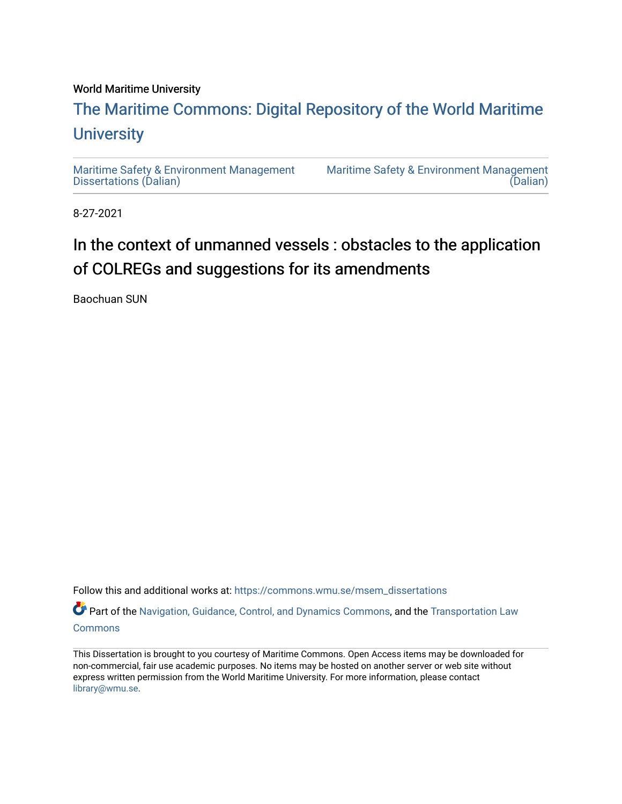#### World Maritime University

## [The Maritime Commons: Digital Repository of the World Maritime](https://commons.wmu.se/)  **University**

[Maritime Safety & Environment Management](https://commons.wmu.se/msem_dissertations) [Dissertations \(Dalian\)](https://commons.wmu.se/msem_dissertations) 

[Maritime Safety & Environment Management](https://commons.wmu.se/msem)  [\(Dalian\)](https://commons.wmu.se/msem) 

8-27-2021

# In the context of unmanned vessels : obstacles to the application of COLREGs and suggestions for its amendments

Baochuan SUN

Follow this and additional works at: [https://commons.wmu.se/msem\\_dissertations](https://commons.wmu.se/msem_dissertations?utm_source=commons.wmu.se%2Fmsem_dissertations%2F425&utm_medium=PDF&utm_campaign=PDFCoverPages)

Part of the [Navigation, Guidance, Control, and Dynamics Commons](http://network.bepress.com/hgg/discipline/1409?utm_source=commons.wmu.se%2Fmsem_dissertations%2F425&utm_medium=PDF&utm_campaign=PDFCoverPages), and the [Transportation Law](http://network.bepress.com/hgg/discipline/885?utm_source=commons.wmu.se%2Fmsem_dissertations%2F425&utm_medium=PDF&utm_campaign=PDFCoverPages) **[Commons](http://network.bepress.com/hgg/discipline/885?utm_source=commons.wmu.se%2Fmsem_dissertations%2F425&utm_medium=PDF&utm_campaign=PDFCoverPages)** 

This Dissertation is brought to you courtesy of Maritime Commons. Open Access items may be downloaded for non-commercial, fair use academic purposes. No items may be hosted on another server or web site without express written permission from the World Maritime University. For more information, please contact [library@wmu.se](mailto:library@wmu.edu).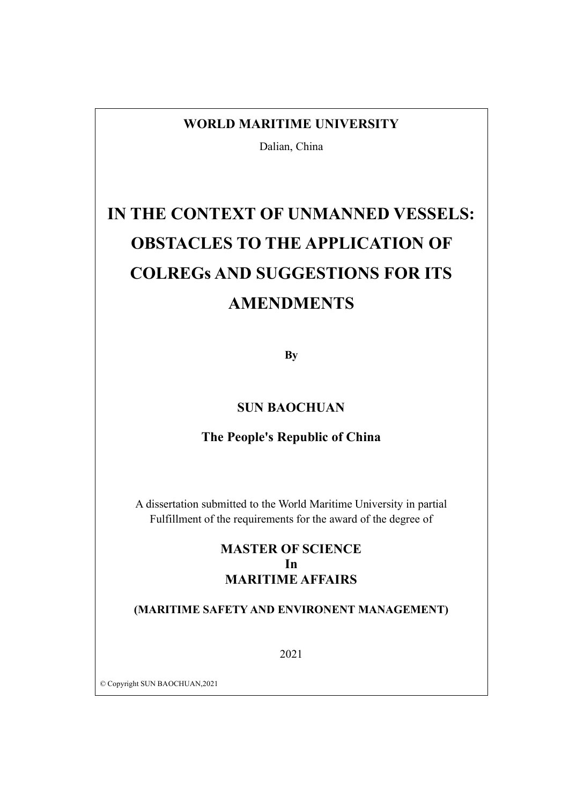## **WORLD MARITIME UNIVERSITY**

Dalian, China

# **IN THE CONTEXT OF UNMANNED VESSELS: OBSTACLES TO THE APPLICATION OF COLREGs AND SUGGESTIONS FOR ITS AMENDMENTS**

**By**

## **SUN BAOCHUAN**

## **The People's Republic of China**

A dissertation submitted to the World Maritime University in partial Fulfillment of the requirements for the award of the degree of

## **MASTER OF SCIENCE In MARITIME AFFAIRS**

#### **(MARITIME SAFETY AND ENVIRONENT MANAGEMENT)**

2021

© Copyright SUN BAOCHUAN,2021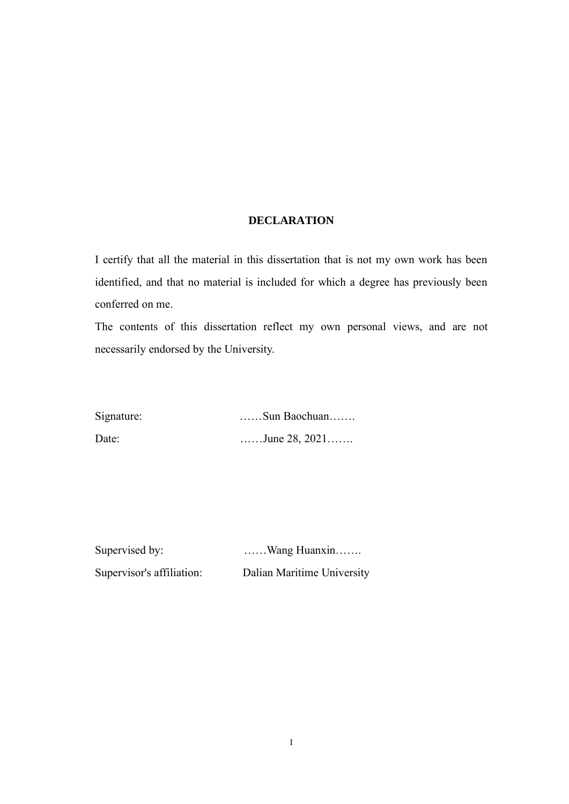#### **DECLARATION**

<span id="page-2-0"></span>I certify that all the material in this dissertation that is not my own work has been identified, and that no material is included for which a degree has previously been conferred on me.

The contents of this dissertation reflect my own personal views, and are not necessarily endorsed by the University.

Signature: ……Sun Baochuan……. Date: ……June 28, 2021……

Supervised by: ...... Wang Huanxin....... Supervisor's affiliation: Dalian Maritime University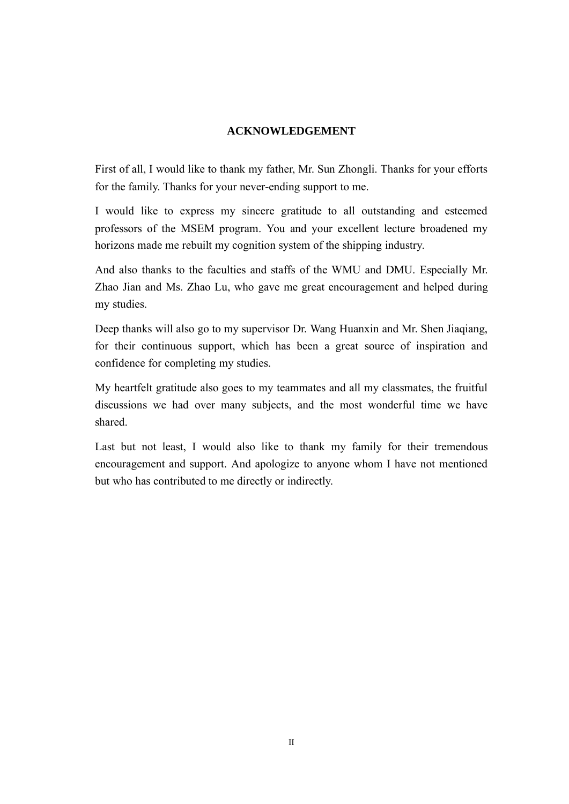## **ACKNOWLEDGEMENT**

<span id="page-3-0"></span>First of all, I would like to thank my father, Mr. Sun Zhongli. Thanks for your efforts for the family. Thanks for your never-ending support to me.

I would like to express my sincere gratitude to all outstanding and esteemed professors of the MSEM program. You and your excellent lecture broadened my horizons made me rebuilt my cognition system of the shipping industry.

And also thanks to the faculties and staffs of the WMU and DMU. Especially Mr. Zhao Jian and Ms. Zhao Lu, who gave me great encouragement and helped during my studies.

Deep thanks will also go to my supervisor Dr. Wang Huanxin and Mr. Shen Jiaqiang, for their continuous support, which has been a great source of inspiration and confidence for completing my studies.

My heartfelt gratitude also goes to my teammates and all my classmates, the fruitful discussions we had over many subjects, and the most wonderful time we have shared.

Last but not least, I would also like to thank my family for their tremendous encouragement and support. And apologize to anyone whom I have not mentioned but who has contributed to me directly or indirectly.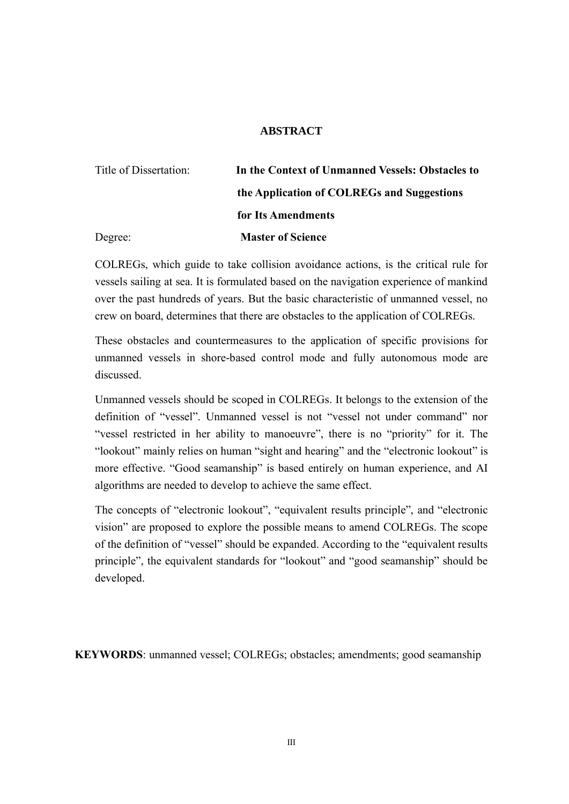#### **ABSTRACT**

<span id="page-4-0"></span>

| Title of Dissertation: | In the Context of Unmanned Vessels: Obstacles to |  |
|------------------------|--------------------------------------------------|--|
|                        | the Application of COLREGs and Suggestions       |  |
|                        | for Its Amendments                               |  |
| Degree:                | <b>Master of Science</b>                         |  |

COLREGs, which guide to take collision avoidance actions, is the critical rule for vessels sailing at sea. It is formulated based on the navigation experience of mankind over the past hundreds of years. But the basic characteristic of unmanned vessel, no crew on board, determines that there are obstacles to the application of COLREGs.

These obstacles and countermeasures to the application of specific provisions for unmanned vessels in shore-based control mode and fully autonomous mode are discussed.

Unmanned vessels should be scoped in COLREGs. It belongs to the extension of the definition of "vessel". Unmanned vessel is not "vessel not under command" nor "vessel restricted in her ability to manoeuvre", there is no "priority" for it. The "lookout" mainly relies on human "sight and hearing" and the "electronic lookout" is more effective. "Good seamanship" is based entirely on human experience, and AI algorithms are needed to develop to achieve the same effect.

The concepts of "electronic lookout", "equivalent results principle", and "electronic vision" are proposed to explore the possible means to amend COLREGs. The scope of the definition of "vessel" should be expanded. According to the "equivalent results principle", the equivalent standards for "lookout" and "good seamanship" should be developed.

**KEYWORDS**: unmanned vessel; COLREGs; obstacles; amendments; good seamanship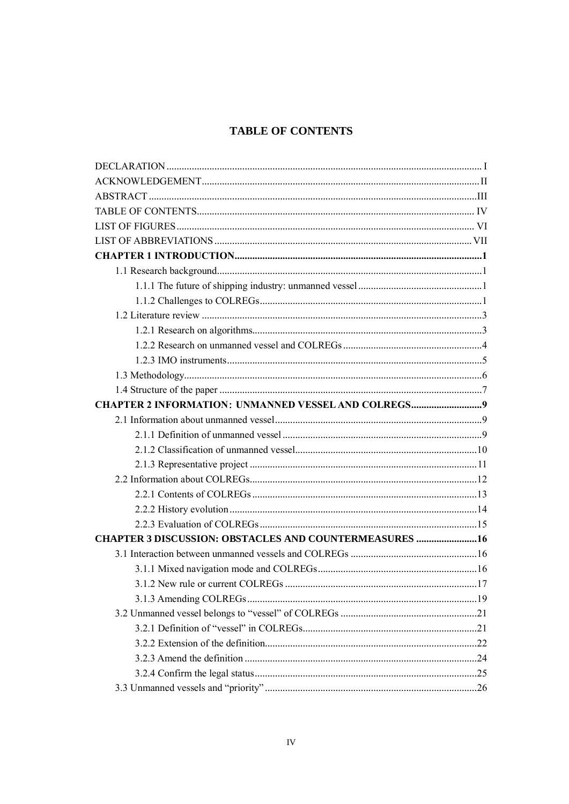## <span id="page-5-0"></span>**TABLE OF CONTENTS**

| <b>CHAPTER 3 DISCUSSION: OBSTACLES AND COUNTERMEASURES  16</b> |  |
|----------------------------------------------------------------|--|
|                                                                |  |
|                                                                |  |
|                                                                |  |
|                                                                |  |
|                                                                |  |
|                                                                |  |
|                                                                |  |
|                                                                |  |
|                                                                |  |
|                                                                |  |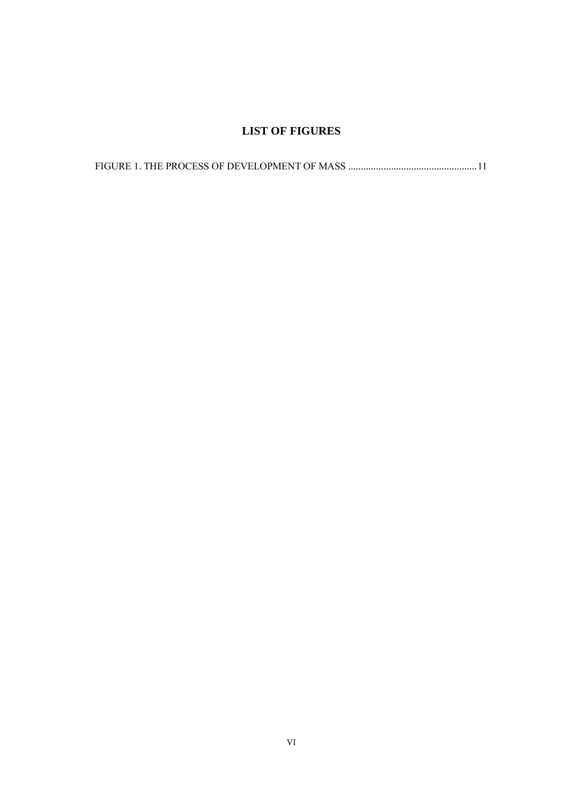## **LIST OF FIGURES**

<span id="page-7-0"></span>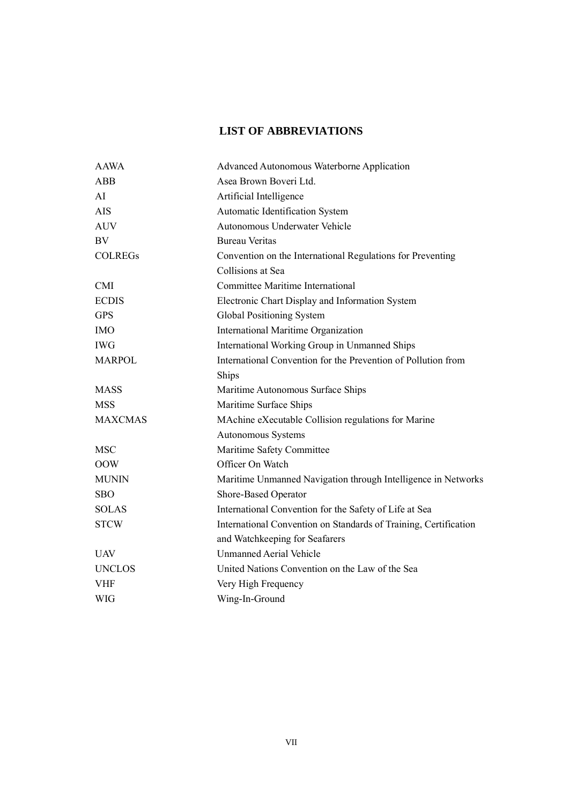## **LIST OF ABBREVIATIONS**

<span id="page-8-0"></span>

| <b>AAWA</b>    | Advanced Autonomous Waterborne Application                       |  |  |
|----------------|------------------------------------------------------------------|--|--|
| <b>ABB</b>     | Asea Brown Boveri Ltd.                                           |  |  |
| AI             | Artificial Intelligence                                          |  |  |
| <b>AIS</b>     | Automatic Identification System                                  |  |  |
| <b>AUV</b>     | Autonomous Underwater Vehicle                                    |  |  |
| <b>BV</b>      | <b>Bureau Veritas</b>                                            |  |  |
| <b>COLREGS</b> | Convention on the International Regulations for Preventing       |  |  |
|                | Collisions at Sea                                                |  |  |
| <b>CMI</b>     | <b>Committee Maritime International</b>                          |  |  |
| <b>ECDIS</b>   | Electronic Chart Display and Information System                  |  |  |
| <b>GPS</b>     | Global Positioning System                                        |  |  |
| <b>IMO</b>     | International Maritime Organization                              |  |  |
| <b>IWG</b>     | International Working Group in Unmanned Ships                    |  |  |
| <b>MARPOL</b>  | International Convention for the Prevention of Pollution from    |  |  |
|                | Ships                                                            |  |  |
| <b>MASS</b>    | Maritime Autonomous Surface Ships                                |  |  |
| <b>MSS</b>     | Maritime Surface Ships                                           |  |  |
| <b>MAXCMAS</b> | MAchine eXecutable Collision regulations for Marine              |  |  |
|                | Autonomous Systems                                               |  |  |
| <b>MSC</b>     | Maritime Safety Committee                                        |  |  |
| <b>OOW</b>     | Officer On Watch                                                 |  |  |
| <b>MUNIN</b>   | Maritime Unmanned Navigation through Intelligence in Networks    |  |  |
| <b>SBO</b>     | Shore-Based Operator                                             |  |  |
| <b>SOLAS</b>   | International Convention for the Safety of Life at Sea           |  |  |
| <b>STCW</b>    | International Convention on Standards of Training, Certification |  |  |
|                | and Watchkeeping for Seafarers                                   |  |  |
| <b>UAV</b>     | <b>Unmanned Aerial Vehicle</b>                                   |  |  |
| <b>UNCLOS</b>  | United Nations Convention on the Law of the Sea                  |  |  |
| <b>VHF</b>     | Very High Frequency                                              |  |  |
| WIG            | Wing-In-Ground                                                   |  |  |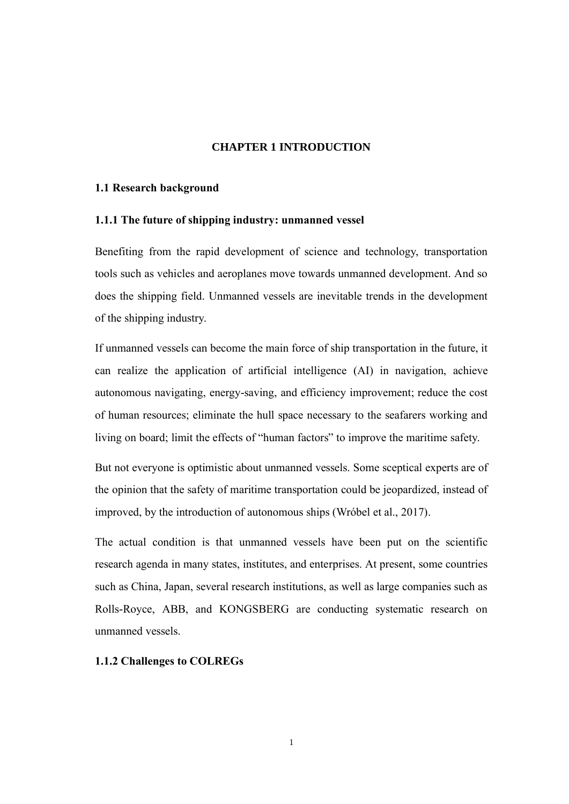#### **CHAPTER 1 INTRODUCTION**

#### <span id="page-9-1"></span><span id="page-9-0"></span>**1.1 Research background**

#### <span id="page-9-2"></span>**1.1.1 The future of shipping industry: unmanned vessel**

Benefiting from the rapid development of science and technology, transportation tools such as vehicles and aeroplanes move towards unmanned development. And so does the shipping field. Unmanned vessels are inevitable trends in the development of the shipping industry.

If unmanned vessels can become the main force of ship transportation in the future, it can realize the application of artificial intelligence (AI) in navigation, achieve autonomous navigating, energy-saving, and efficiency improvement; reduce the cost of human resources; eliminate the hull space necessary to the seafarers working and living on board; limit the effects of "human factors" to improve the maritime safety.

But not everyone is optimistic about unmanned vessels. Some sceptical experts are of the opinion that the safety of maritime transportation could be jeopardized, instead of improved, by the introduction of autonomous ships (Wróbel et al., 2017).

The actual condition is that unmanned vessels have been put on the scientific research agenda in many states, institutes, and enterprises. At present, some countries such as China, Japan, several research institutions, as well as large companies such as Rolls-Royce, ABB, and KONGSBERG are conducting systematic research on unmanned vessels.

#### <span id="page-9-3"></span>**1.1.2 Challenges to COLREGs**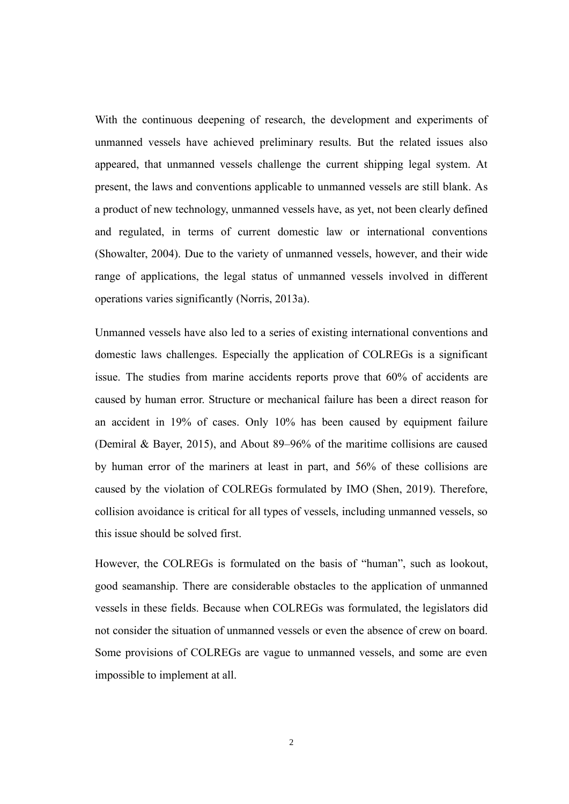With the continuous deepening of research, the development and experiments of unmanned vessels have achieved preliminary results. But the related issues also appeared, that unmanned vessels challenge the current shipping legal system. At present, the laws and conventions applicable to unmanned vessels are still blank. As a product of new technology, unmanned vessels have, as yet, not been clearly defined and regulated, in terms of current domestic law or international conventions (Showalter, 2004). Due to the variety of unmanned vessels, however, and their wide range of applications, the legal status of unmanned vessels involved in different operations varies significantly (Norris, 2013a).

Unmanned vessels have also led to a series of existing international conventions and domestic laws challenges. Especially the application of COLREGs is a significant issue. The studies from marine accidents reports prove that 60% of accidents are caused by human error. Structure or mechanical failure has been a direct reason for an accident in 19% of cases. Only 10% has been caused by equipment failure (Demiral & Bayer, 2015), and About 89–96% of the maritime collisions are caused by human error of the mariners at least in part, and 56% of these collisions are caused by the violation of COLREGs formulated by IMO (Shen, 2019). Therefore, collision avoidance is critical for all types of vessels, including unmanned vessels, so this issue should be solved first.

However, the COLREGs is formulated on the basis of "human", such as lookout, good seamanship. There are considerable obstacles to the application of unmanned vessels in these fields. Because when COLREGs was formulated, the legislators did not consider the situation of unmanned vessels or even the absence of crew on board. Some provisions of COLREGs are vague to unmanned vessels, and some are even impossible to implement at all.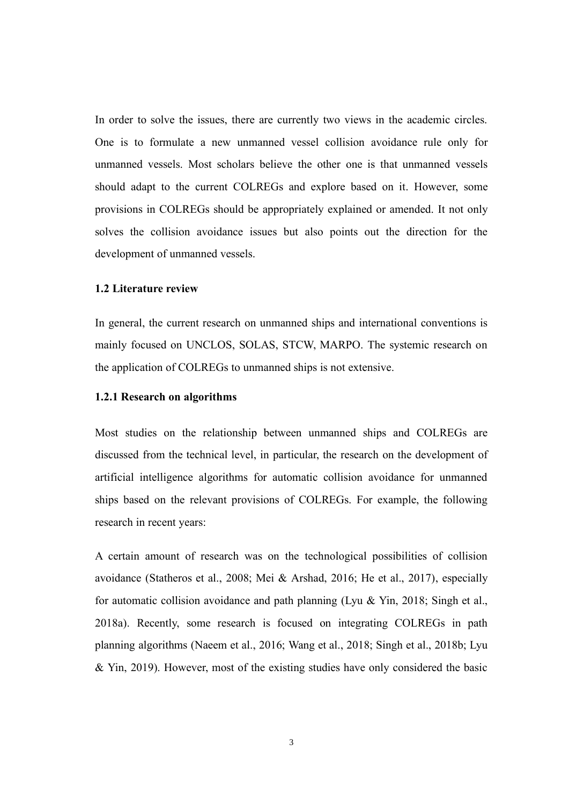In order to solve the issues, there are currently two views in the academic circles. One is to formulate a new unmanned vessel collision avoidance rule only for unmanned vessels. Most scholars believe the other one is that unmanned vessels should adapt to the current COLREGs and explore based on it. However, some provisions in COLREGs should be appropriately explained or amended. It not only solves the collision avoidance issues but also points out the direction for the development of unmanned vessels.

#### <span id="page-11-0"></span>**1.2 Literature review**

In general, the current research on unmanned ships and international conventions is mainly focused on UNCLOS, SOLAS, STCW, MARPO. The systemic research on the application of COLREGs to unmanned ships is not extensive.

#### <span id="page-11-1"></span>**1.2.1 Research on algorithms**

Most studies on the relationship between unmanned ships and COLREGs are discussed from the technical level, in particular, the research on the development of artificial intelligence algorithms for automatic collision avoidance for unmanned ships based on the relevant provisions of COLREGs. For example, the following research in recent years:

A certain amount of research was on the technological possibilities of collision avoidance (Statheros et al., 2008; Mei & Arshad, 2016; He et al., 2017), especially for automatic collision avoidance and path planning (Lyu & Yin, 2018; Singh et al., 2018a). Recently, some research is focused on integrating COLREGs in path planning algorithms (Naeem et al., 2016; Wang et al., 2018; Singh et al., 2018b; Lyu & Yin, 2019). However, most of the existing studies have only considered the basic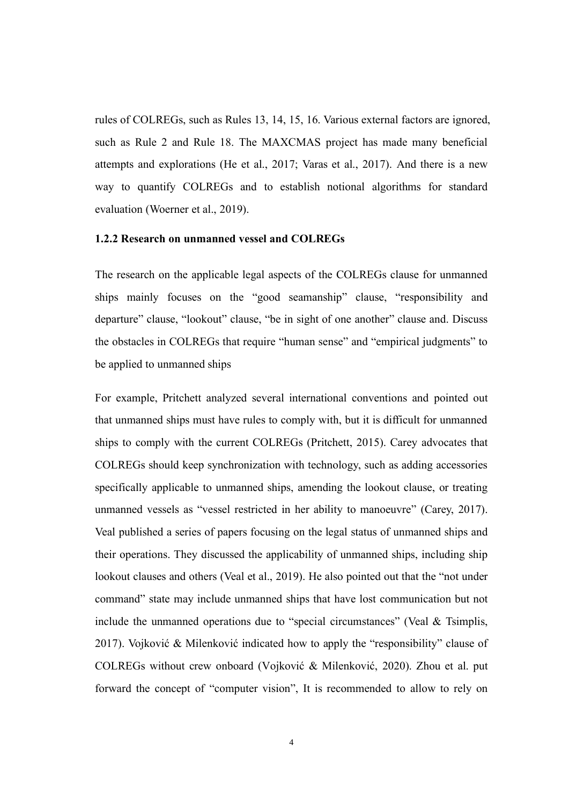rules of COLREGs, such as Rules 13, 14, 15, 16. Various external factors are ignored, such as Rule 2 and Rule 18. The MAXCMAS project has made many beneficial attempts and explorations (He et al., 2017; Varas et al., 2017). And there is a new way to quantify COLREGs and to establish notional algorithms for standard evaluation (Woerner et al., 2019).

#### <span id="page-12-0"></span>**1.2.2 Research on unmanned vessel and COLREGs**

The research on the applicable legal aspects of the COLREGs clause for unmanned ships mainly focuses on the "good seamanship" clause, "responsibility and departure" clause, "lookout" clause, "be in sight of one another" clause and. Discuss the obstacles in COLREGs that require "human sense" and "empirical judgments" to be applied to unmanned ships

For example, Pritchett analyzed several international conventions and pointed out that unmanned ships must have rules to comply with, but it is difficult for unmanned ships to comply with the current COLREGs (Pritchett, 2015). Carey advocates that COLREGs should keep synchronization with technology, such as adding accessories specifically applicable to unmanned ships, amending the lookout clause, or treating unmanned vessels as "vessel restricted in her ability to manoeuvre" (Carey, 2017). Veal published a series of papers focusing on the legal status of unmanned ships and their operations. They discussed the applicability of unmanned ships, including ship lookout clauses and others (Veal et al., 2019). He also pointed out that the "not under command" state may include unmanned ships that have lost communication but not include the unmanned operations due to "special circumstances" (Veal & Tsimplis, 2017). Vojković & Milenković indicated how to apply the "responsibility" clause of COLREGs without crew onboard (Vojković & Milenković, 2020). Zhou et al. put forward the concept of "computer vision", It is recommended to allow to rely on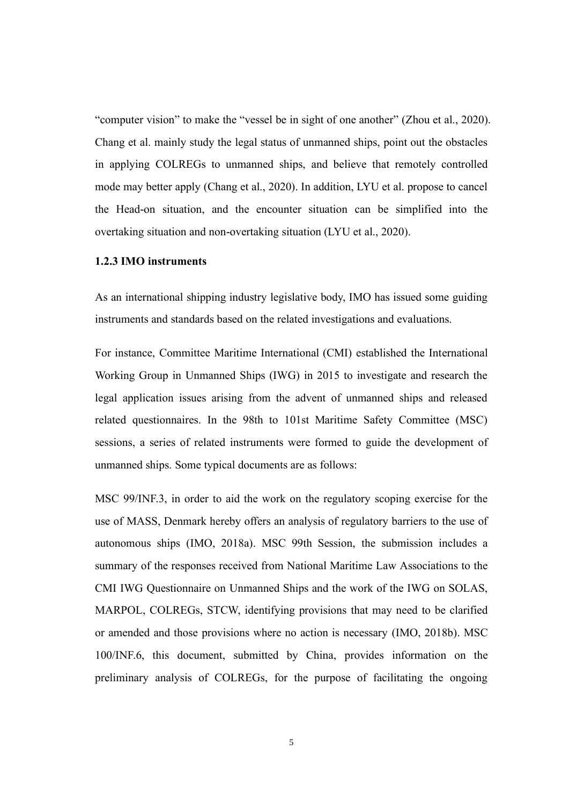"computer vision" to make the "vessel be in sight of one another" (Zhou et al., 2020). Chang et al. mainly study the legal status of unmanned ships, point out the obstacles in applying COLREGs to unmanned ships, and believe that remotely controlled mode may better apply (Chang et al., 2020). In addition, LYU et al. propose to cancel the Head-on situation, and the encounter situation can be simplified into the overtaking situation and non-overtaking situation (LYU et al., 2020).

#### <span id="page-13-0"></span>**1.2.3 IMO instruments**

As an international shipping industry legislative body, IMO has issued some guiding instruments and standards based on the related investigations and evaluations.

For instance, Committee Maritime International (CMI) established the International Working Group in Unmanned Ships (IWG) in 2015 to investigate and research the legal application issues arising from the advent of unmanned ships and released related questionnaires. In the 98th to 101st Maritime Safety Committee (MSC) sessions, a series of related instruments were formed to guide the development of unmanned ships. Some typical documents are as follows:

MSC 99/INF.3, in order to aid the work on the regulatory scoping exercise for the use of MASS, Denmark hereby offers an analysis of regulatory barriers to the use of autonomous ships (IMO, 2018a). MSC 99th Session, the submission includes a summary of the responses received from National Maritime Law Associations to the CMI IWG Questionnaire on Unmanned Ships and the work of the IWG on SOLAS, MARPOL, COLREGs, STCW, identifying provisions that may need to be clarified or amended and those provisions where no action is necessary (IMO, 2018b). MSC 100/INF.6, this document, submitted by China, provides information on the preliminary analysis of COLREGs, for the purpose of facilitating the ongoing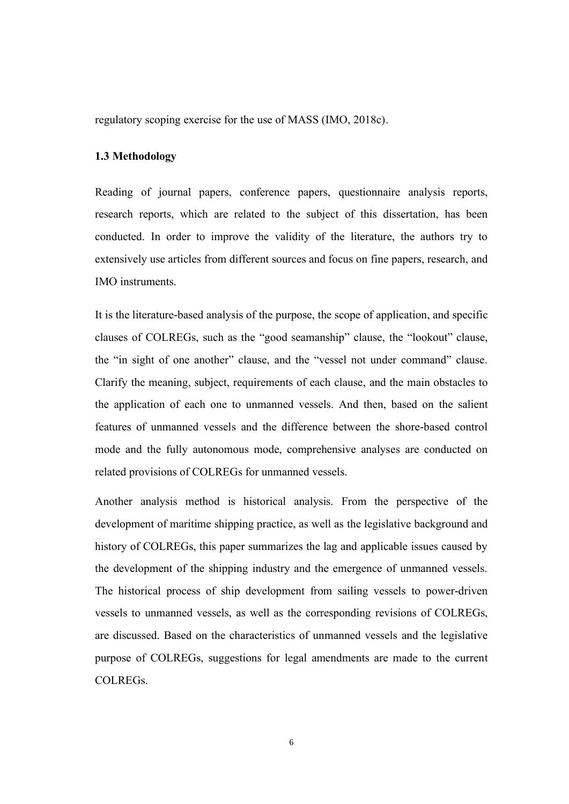<span id="page-14-0"></span>regulatory scoping exercise for the use of MASS (IMO, 2018c).

#### **1.3 Methodology**

Reading of journal papers, conference papers, questionnaire analysis reports, research reports, which are related to the subject of this dissertation, has been conducted. In order to improve the validity of the literature, the authors try to extensively use articles from different sources and focus on fine papers, research, and IMO instruments.

It is the literature-based analysis of the purpose, the scope of application, and specific clauses of COLREGs, such as the "good seamanship" clause, the "lookout" clause, the "in sight of one another" clause, and the "vessel not under command" clause. Clarify the meaning, subject, requirements of each clause, and the main obstacles to the application of each one to unmanned vessels. And then, based on the salient features of unmanned vessels and the difference between the shore-based control mode and the fully autonomous mode, comprehensive analyses are conducted on related provisions of COLREGs for unmanned vessels.

Another analysis method is historical analysis. From the perspective of the development of maritime shipping practice, as well as the legislative background and history of COLREGs, this paper summarizes the lag and applicable issues caused by the development of the shipping industry and the emergence of unmanned vessels. The historical process of ship development from sailing vessels to power-driven vessels to unmanned vessels, as well as the corresponding revisions of COLREGs, are discussed. Based on the characteristics of unmanned vessels and the legislative purpose of COLREGs, suggestions for legal amendments are made to the current COLREGs.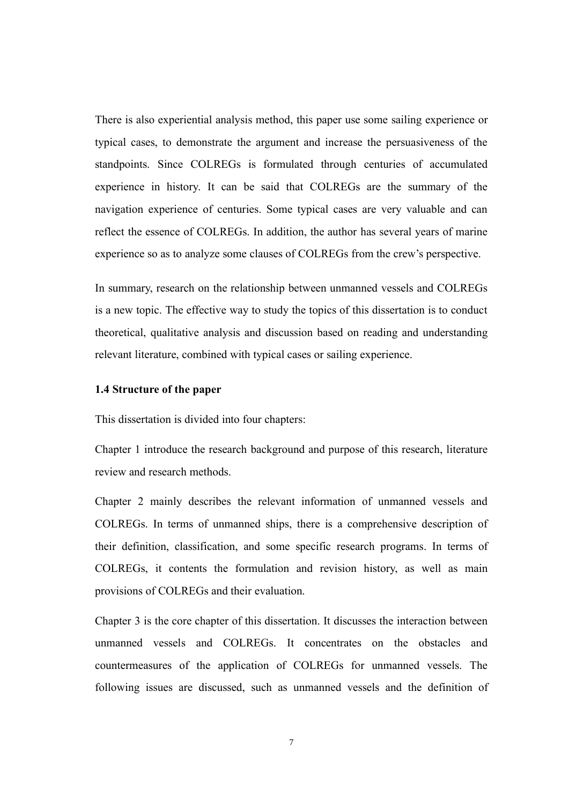There is also experiential analysis method, this paper use some sailing experience or typical cases, to demonstrate the argument and increase the persuasiveness of the standpoints. Since COLREGs is formulated through centuries of accumulated experience in history. It can be said that COLREGs are the summary of the navigation experience of centuries. Some typical cases are very valuable and can reflect the essence of COLREGs. In addition, the author has several years of marine experience so as to analyze some clauses of COLREGs from the crew's perspective.

In summary, research on the relationship between unmanned vessels and COLREGs is a new topic. The effective way to study the topics of this dissertation is to conduct theoretical, qualitative analysis and discussion based on reading and understanding relevant literature, combined with typical cases or sailing experience.

#### <span id="page-15-0"></span>**1.4 Structure of the paper**

This dissertation is divided into four chapters:

Chapter 1 introduce the research background and purpose of this research, literature review and research methods.

Chapter 2 mainly describes the relevant information of unmanned vessels and COLREGs. In terms of unmanned ships, there is a comprehensive description of their definition, classification, and some specific research programs. In terms of COLREGs, it contents the formulation and revision history, as well as main provisions of COLREGs and their evaluation.

Chapter 3 is the core chapter of this dissertation. It discusses the interaction between unmanned vessels and COLREGs. It concentrates on the obstacles and countermeasures of the application of COLREGs for unmanned vessels. The following issues are discussed, such as unmanned vessels and the definition of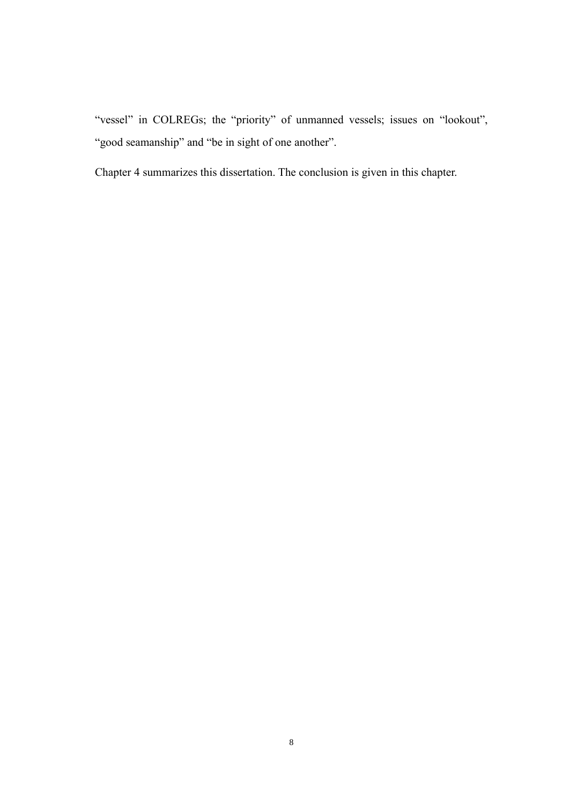"vessel" in COLREGs; the "priority" of unmanned vessels; issues on "lookout", "good seamanship" and "be in sight of one another".

Chapter 4 summarizes this dissertation. The conclusion is given in this chapter.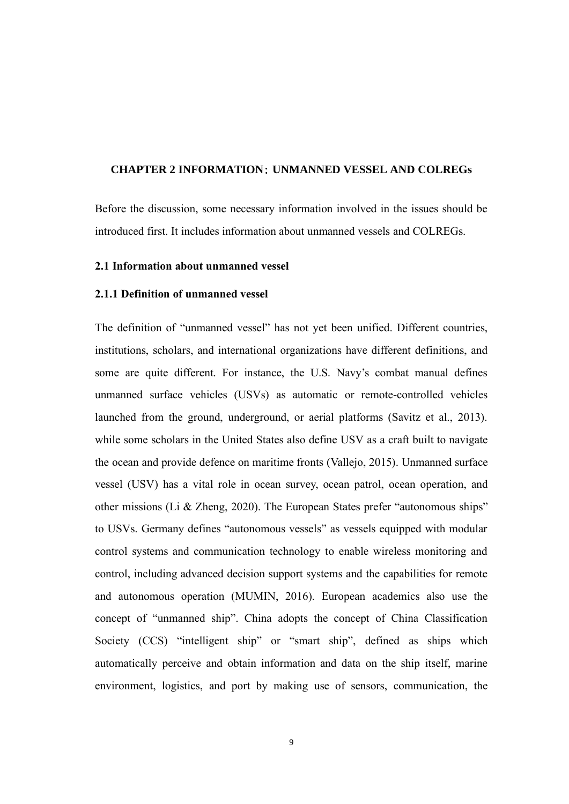#### <span id="page-17-0"></span>**CHAPTER 2 INFORMATION**: **UNMANNED VESSEL AND COLREGs**

Before the discussion, some necessary information involved in the issues should be introduced first. It includes information about unmanned vessels and COLREGs.

#### <span id="page-17-1"></span>**2.1 Information about unmanned vessel**

#### <span id="page-17-2"></span>**2.1.1 Definition of unmanned vessel**

The definition of "unmanned vessel" has not yet been unified. Different countries, institutions, scholars, and international organizations have different definitions, and some are quite different. For instance, the U.S. Navy's combat manual defines unmanned surface vehicles (USVs) as automatic or remote-controlled vehicles launched from the ground, underground, or aerial platforms (Savitz et al., 2013). while some scholars in the United States also define USV as a craft built to navigate the ocean and provide defence on maritime fronts (Vallejo, 2015). Unmanned surface vessel (USV) has a vital role in ocean survey, ocean patrol, ocean operation, and other missions (Li & Zheng, 2020). The European States prefer "autonomous ships" to USVs. Germany defines "autonomous vessels" as vessels equipped with modular control systems and communication technology to enable wireless monitoring and control, including advanced decision support systems and the capabilities for remote and autonomous operation (MUMIN, 2016). European academics also use the concept of "unmanned ship". China adopts the concept of China Classification Society (CCS) "intelligent ship" or "smart ship", defined as ships which automatically perceive and obtain information and data on the ship itself, marine environment, logistics, and port by making use of sensors, communication, the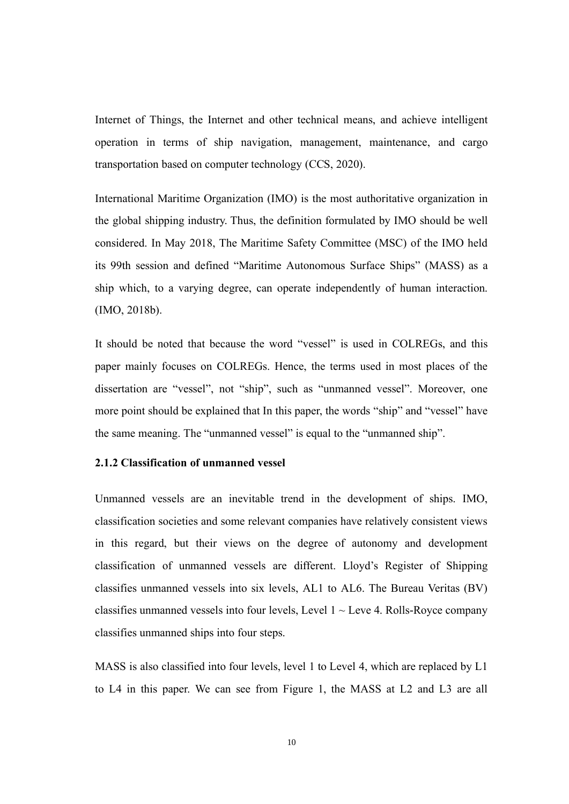Internet of Things, the Internet and other technical means, and achieve intelligent operation in terms of ship navigation, management, maintenance, and cargo transportation based on computer technology (CCS, 2020).

International Maritime Organization (IMO) is the most authoritative organization in the global shipping industry. Thus, the definition formulated by IMO should be well considered. In May 2018, The Maritime Safety Committee (MSC) of the IMO held its 99th session and defined "Maritime Autonomous Surface Ships" (MASS) as a ship which, to a varying degree, can operate independently of human interaction. (IMO, 2018b).

It should be noted that because the word "vessel" is used in COLREGs, and this paper mainly focuses on COLREGs. Hence, the terms used in most places of the dissertation are "vessel", not "ship", such as "unmanned vessel". Moreover, one more point should be explained that In this paper, the words "ship" and "vessel" have the same meaning. The "unmanned vessel" is equal to the "unmanned ship".

#### <span id="page-18-0"></span>**2.1.2 Classification of unmanned vessel**

Unmanned vessels are an inevitable trend in the development of ships. IMO, classification societies and some relevant companies have relatively consistent views in this regard, but their views on the degree of autonomy and development classification of unmanned vessels are different. Lloyd's Register of Shipping classifies unmanned vessels into six levels, AL1 to AL6. The Bureau Veritas (BV) classifies unmanned vessels into four levels, Level  $1 \sim$  Leve 4. Rolls-Royce company classifies unmanned ships into four steps.

MASS is also classified into four levels, level 1 to Level 4, which are replaced by L1 to L4 in this paper. We can see from Figure 1, the MASS at L2 and L3 are all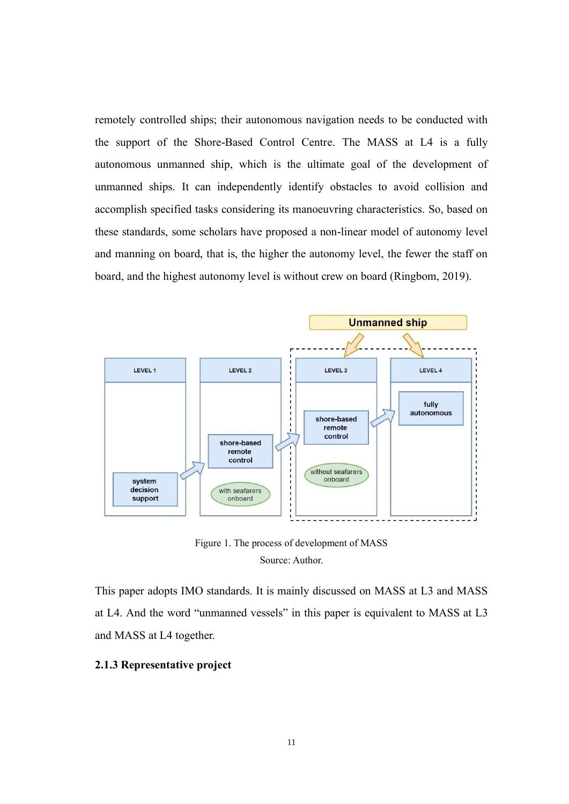remotely controlled ships; their autonomous navigation needs to be conducted with the support of the Shore-Based Control Centre. The MASS at L4 is a fully autonomous unmanned ship, which is the ultimate goal of the development of unmanned ships. It can independently identify obstacles to avoid collision and accomplish specified tasks considering its manoeuvring characteristics. So, based on these standards, some scholars have proposed a non-linear model of autonomy level and manning on board, that is, the higher the autonomy level, the fewer the staff on board, and the highest autonomy level is without crew on board (Ringbom, 2019).



Figure 1. The process of development of MASS Source: Author.

This paper adopts IMO standards. It is mainly discussed on MASS at L3 and MASS at L4. And the word "unmanned vessels" in this paper is equivalent to MASS at L3 and MASS at L4 together.

#### <span id="page-19-0"></span>**2.1.3 Representative project**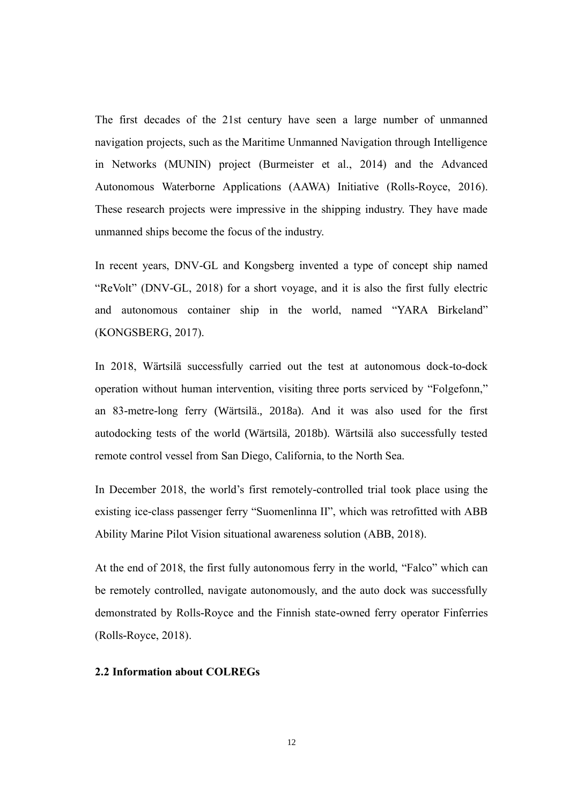The first decades of the 21st century have seen a large number of unmanned navigation projects, such as the Maritime Unmanned Navigation through Intelligence in Networks (MUNIN) project (Burmeister et al., 2014) and the Advanced Autonomous Waterborne Applications (AAWA) Initiative (Rolls-Royce, 2016). These research projects were impressive in the shipping industry. They have made unmanned ships become the focus of the industry.

In recent years, DNV-GL and Kongsberg invented a type of concept ship named "ReVolt" (DNV-GL, 2018) for a short voyage, and it is also the first fully electric and autonomous container ship in the world, named "YARA Birkeland" (KONGSBERG, 2017).

In 2018, Wärtsilä successfully carried out the test at autonomous dock-to-dock operation without human intervention, visiting three ports serviced by "Folgefonn," an 83-metre-long ferry (Wärtsilä., 2018a). And it was also used for the first autodocking tests of the world (Wärtsilä, 2018b). Wärtsilä also successfully tested remote control vessel from San Diego, California, to the North Sea.

In December 2018, the world's first remotely-controlled trial took place using the existing ice-class passenger ferry "Suomenlinna II", which was retrofitted with ABB Ability Marine Pilot Vision situational awareness solution (ABB, 2018).

At the end of 2018, the first fully autonomous ferry in the world, "Falco" which can be remotely controlled, navigate autonomously, and the auto dock was successfully demonstrated by Rolls-Royce and the Finnish state-owned ferry operator Finferries (Rolls-Royce, 2018).

#### <span id="page-20-0"></span>**2.2 Information about COLREGs**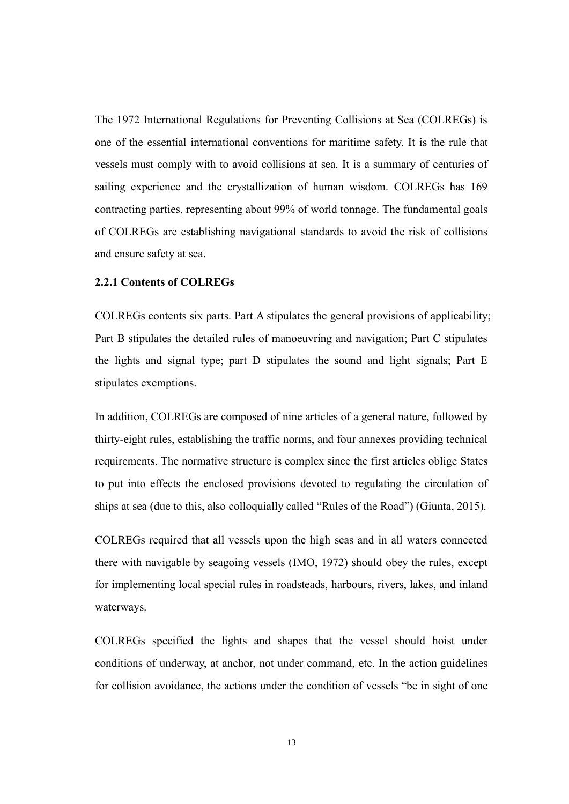The 1972 International Regulations for Preventing Collisions at Sea (COLREGs) is one of the essential international conventions for maritime safety. It is the rule that vessels must comply with to avoid collisions at sea. It is a summary of centuries of sailing experience and the crystallization of human wisdom. COLREGs has 169 contracting parties, representing about 99% of world tonnage. The fundamental goals of COLREGs are establishing navigational standards to avoid the risk of collisions and ensure safety at sea.

#### <span id="page-21-0"></span>**2.2.1 Contents of COLREGs**

COLREGs contents six parts. Part A stipulates the general provisions of applicability; Part B stipulates the detailed rules of manoeuvring and navigation; Part C stipulates the lights and signal type; part D stipulates the sound and light signals; Part E stipulates exemptions.

In addition, COLREGs are composed of nine articles of a general nature, followed by thirty-eight rules, establishing the traffic norms, and four annexes providing technical requirements. The normative structure is complex since the first articles oblige States to put into effects the enclosed provisions devoted to regulating the circulation of ships at sea (due to this, also colloquially called "Rules of the Road") (Giunta, 2015).

COLREGs required that all vessels upon the high seas and in all waters connected there with navigable by seagoing vessels (IMO, 1972) should obey the rules, except for implementing local special rules in roadsteads, harbours, rivers, lakes, and inland waterways.

COLREGs specified the lights and shapes that the vessel should hoist under conditions of underway, at anchor, not under command, etc. In the action guidelines for collision avoidance, the actions under the condition of vessels "be in sight of one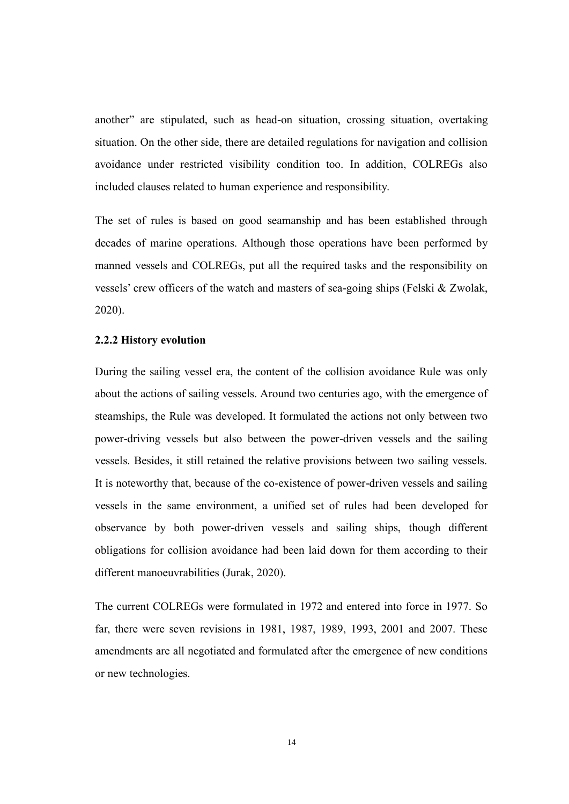another" are stipulated, such as head-on situation, crossing situation, overtaking situation. On the other side, there are detailed regulations for navigation and collision avoidance under restricted visibility condition too. In addition, COLREGs also included clauses related to human experience and responsibility.

The set of rules is based on good seamanship and has been established through decades of marine operations. Although those operations have been performed by manned vessels and COLREGs, put all the required tasks and the responsibility on vessels' crew officers of the watch and masters of sea-going ships (Felski & Zwolak, 2020).

#### <span id="page-22-0"></span>**2.2.2 History evolution**

During the sailing vessel era, the content of the collision avoidance Rule was only about the actions of sailing vessels. Around two centuries ago, with the emergence of steamships, the Rule was developed. It formulated the actions not only between two power-driving vessels but also between the power-driven vessels and the sailing vessels. Besides, it still retained the relative provisions between two sailing vessels. It is noteworthy that, because of the co-existence of power-driven vessels and sailing vessels in the same environment, a unified set of rules had been developed for observance by both power-driven vessels and sailing ships, though different obligations for collision avoidance had been laid down for them according to their different manoeuvrabilities (Jurak, 2020).

The current COLREGs were formulated in 1972 and entered into force in 1977. So far, there were seven revisions in 1981, 1987, 1989, 1993, 2001 and 2007. These amendments are all negotiated and formulated after the emergence of new conditions or new technologies.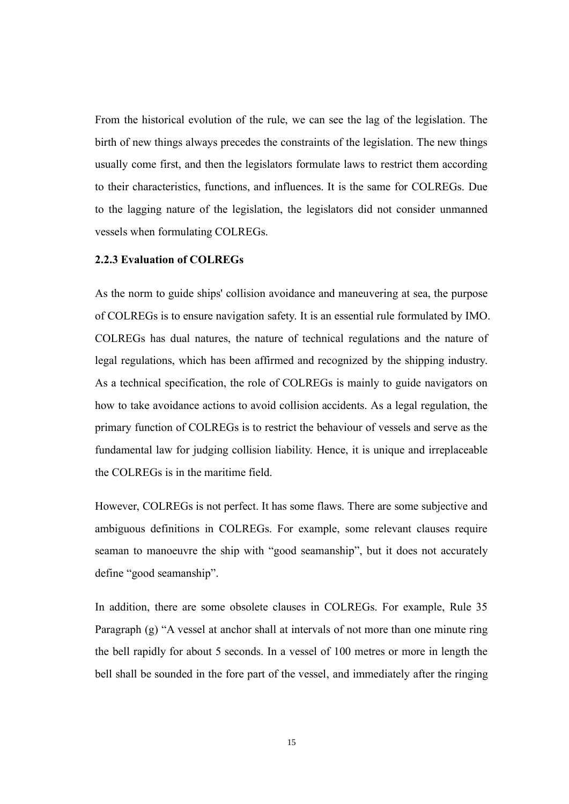From the historical evolution of the rule, we can see the lag of the legislation. The birth of new things always precedes the constraints of the legislation. The new things usually come first, and then the legislators formulate laws to restrict them according to their characteristics, functions, and influences. It is the same for COLREGs. Due to the lagging nature of the legislation, the legislators did not consider unmanned vessels when formulating COLREGs.

#### <span id="page-23-0"></span>**2.2.3 Evaluation of COLREGs**

As the norm to guide ships' collision avoidance and maneuvering at sea, the purpose of COLREGs is to ensure navigation safety. It is an essential rule formulated by IMO. COLREGs has dual natures, the nature of technical regulations and the nature of legal regulations, which has been affirmed and recognized by the shipping industry. As a technical specification, the role of COLREGs is mainly to guide navigators on how to take avoidance actions to avoid collision accidents. As a legal regulation, the primary function of COLREGs is to restrict the behaviour of vessels and serve as the fundamental law for judging collision liability. Hence, it is unique and irreplaceable the COLREGs is in the maritime field.

However, COLREGs is not perfect. It has some flaws. There are some subjective and ambiguous definitions in COLREGs. For example, some relevant clauses require seaman to manoeuvre the ship with "good seamanship", but it does not accurately define "good seamanship".

In addition, there are some obsolete clauses in COLREGs. For example, Rule 35 Paragraph (g) "A vessel at anchor shall at intervals of not more than one minute ring the bell rapidly for about 5 seconds. In a vessel of 100 metres or more in length the bell shall be sounded in the fore part of the vessel, and immediately after the ringing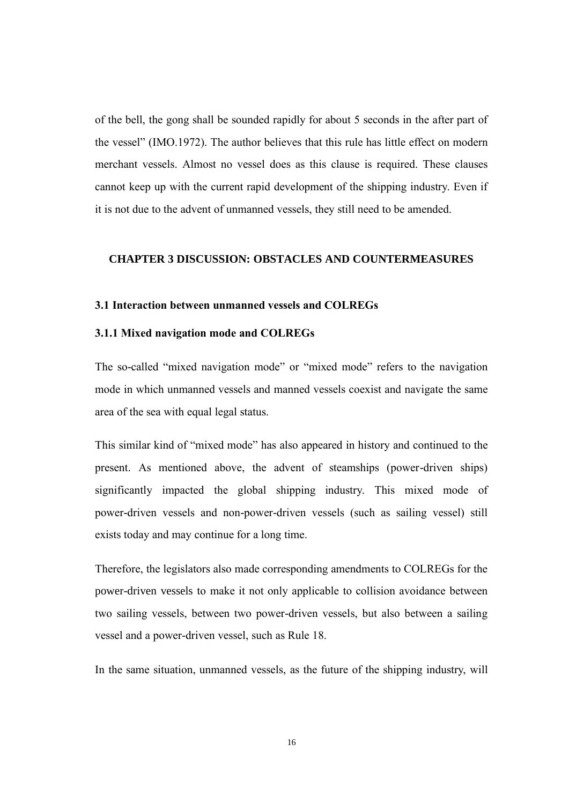of the bell, the gong shall be sounded rapidly for about 5 seconds in the after part of the vessel" (IMO.1972). The author believes that this rule has little effect on modern merchant vessels. Almost no vessel does as this clause is required. These clauses cannot keep up with the current rapid development of the shipping industry. Even if it is not due to the advent of unmanned vessels, they still need to be amended.

#### <span id="page-24-0"></span>**CHAPTER 3 DISCUSSION: OBSTACLES AND COUNTERMEASURES**

#### <span id="page-24-1"></span>**3.1 Interaction between unmanned vessels and COLREGs**

#### <span id="page-24-2"></span>**3.1.1 Mixed navigation mode and COLREGs**

The so-called "mixed navigation mode" or "mixed mode" refers to the navigation mode in which unmanned vessels and manned vessels coexist and navigate the same area of the sea with equal legal status.

This similar kind of "mixed mode" has also appeared in history and continued to the present. As mentioned above, the advent of steamships (power-driven ships) significantly impacted the global shipping industry. This mixed mode of power-driven vessels and non-power-driven vessels (such as sailing vessel) still exists today and may continue for a long time.

Therefore, the legislators also made corresponding amendments to COLREGs for the power-driven vessels to make it not only applicable to collision avoidance between two sailing vessels, between two power-driven vessels, but also between a sailing vessel and a power-driven vessel, such as Rule 18.

In the same situation, unmanned vessels, as the future of the shipping industry, will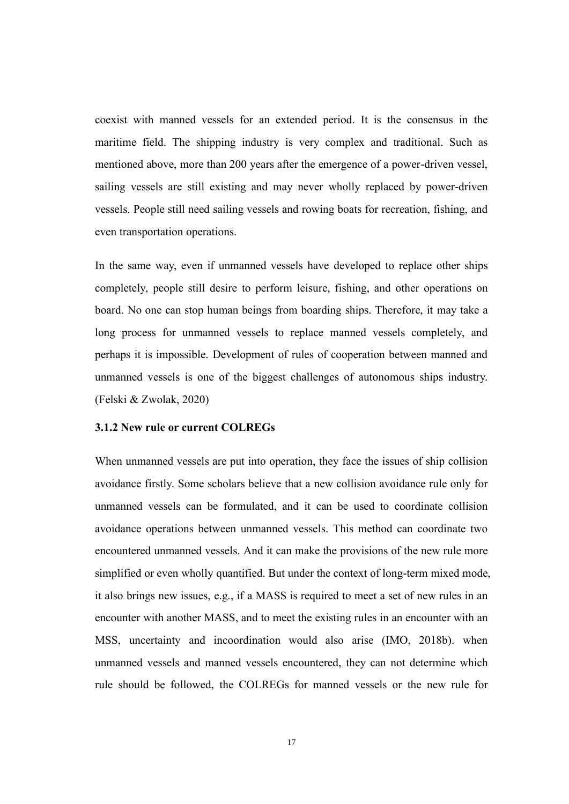coexist with manned vessels for an extended period. It is the consensus in the maritime field. The shipping industry is very complex and traditional. Such as mentioned above, more than 200 years after the emergence of a power-driven vessel, sailing vessels are still existing and may never wholly replaced by power-driven vessels. People still need sailing vessels and rowing boats for recreation, fishing, and even transportation operations.

In the same way, even if unmanned vessels have developed to replace other ships completely, people still desire to perform leisure, fishing, and other operations on board. No one can stop human beings from boarding ships. Therefore, it may take a long process for unmanned vessels to replace manned vessels completely, and perhaps it is impossible. Development of rules of cooperation between manned and unmanned vessels is one of the biggest challenges of autonomous ships industry. (Felski & Zwolak, 2020)

#### <span id="page-25-0"></span>**3.1.2 New rule or current COLREGs**

When unmanned vessels are put into operation, they face the issues of ship collision avoidance firstly. Some scholars believe that a new collision avoidance rule only for unmanned vessels can be formulated, and it can be used to coordinate collision avoidance operations between unmanned vessels. This method can coordinate two encountered unmanned vessels. And it can make the provisions of the new rule more simplified or even wholly quantified. But under the context of long-term mixed mode, it also brings new issues, e.g., if a MASS is required to meet a set of new rules in an encounter with another MASS, and to meet the existing rules in an encounter with an MSS, uncertainty and incoordination would also arise (IMO, 2018b). when unmanned vessels and manned vessels encountered, they can not determine which rule should be followed, the COLREGs for manned vessels or the new rule for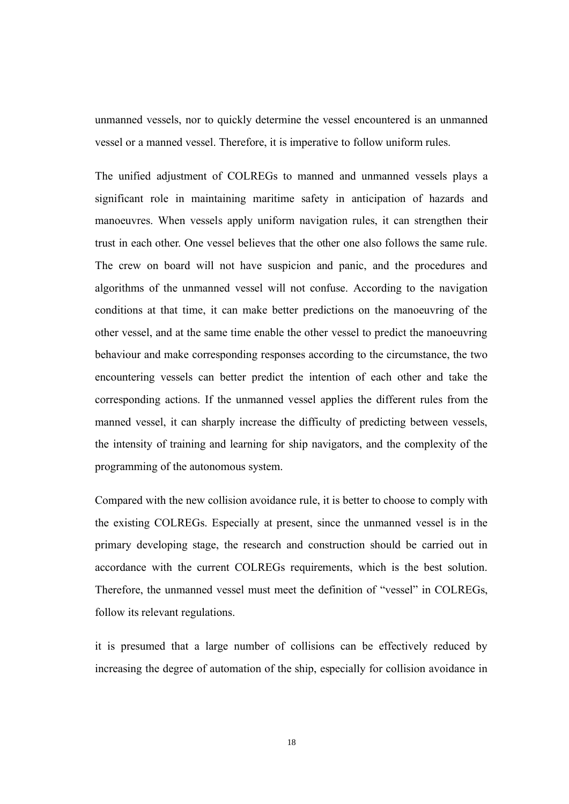unmanned vessels, nor to quickly determine the vessel encountered is an unmanned vessel or a manned vessel. Therefore, it is imperative to follow uniform rules.

The unified adjustment of COLREGs to manned and unmanned vessels plays a significant role in maintaining maritime safety in anticipation of hazards and manoeuvres. When vessels apply uniform navigation rules, it can strengthen their trust in each other. One vessel believes that the other one also follows the same rule. The crew on board will not have suspicion and panic, and the procedures and algorithms of the unmanned vessel will not confuse. According to the navigation conditions at that time, it can make better predictions on the manoeuvring of the other vessel, and at the same time enable the other vessel to predict the manoeuvring behaviour and make corresponding responses according to the circumstance, the two encountering vessels can better predict the intention of each other and take the corresponding actions. If the unmanned vessel applies the different rules from the manned vessel, it can sharply increase the difficulty of predicting between vessels, the intensity of training and learning for ship navigators, and the complexity of the programming of the autonomous system.

Compared with the new collision avoidance rule, it is better to choose to comply with the existing COLREGs. Especially at present, since the unmanned vessel is in the primary developing stage, the research and construction should be carried out in accordance with the current COLREGs requirements, which is the best solution. Therefore, the unmanned vessel must meet the definition of "vessel" in COLREGs, follow its relevant regulations.

it is presumed that a large number of collisions can be effectively reduced by increasing the degree of automation of the ship, especially for collision avoidance in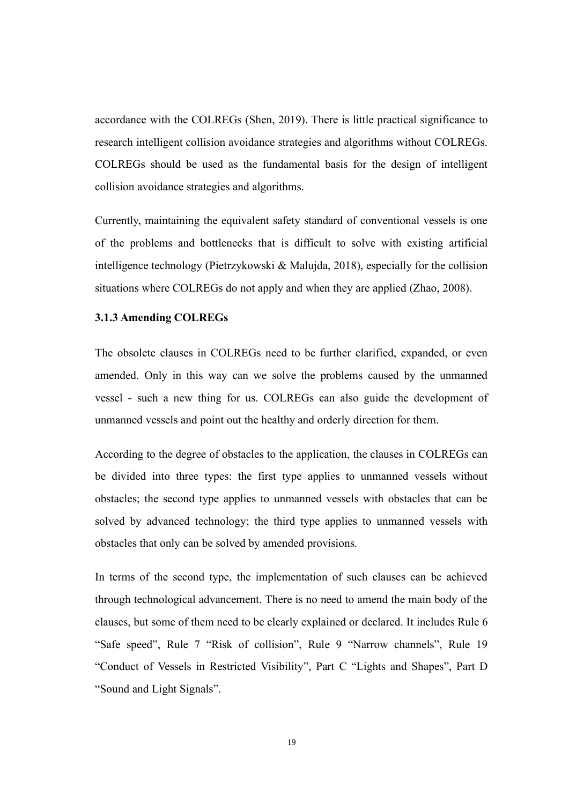accordance with the COLREGs (Shen, 2019). There is little practical significance to research intelligent collision avoidance strategies and algorithms without COLREGs. COLREGs should be used as the fundamental basis for the design of intelligent collision avoidance strategies and algorithms.

Currently, maintaining the equivalent safety standard of conventional vessels is one of the problems and bottlenecks that is difficult to solve with existing artificial intelligence technology (Pietrzykowski & Malujda, 2018), especially for the collision situations where COLREGs do not apply and when they are applied (Zhao, 2008).

#### <span id="page-27-0"></span>**3.1.3 Amending COLREGs**

The obsolete clauses in COLREGs need to be further clarified, expanded, or even amended. Only in this way can we solve the problems caused by the unmanned vessel - such a new thing for us. COLREGs can also guide the development of unmanned vessels and point out the healthy and orderly direction for them.

According to the degree of obstacles to the application, the clauses in COLREGs can be divided into three types: the first type applies to unmanned vessels without obstacles; the second type applies to unmanned vessels with obstacles that can be solved by advanced technology; the third type applies to unmanned vessels with obstacles that only can be solved by amended provisions.

In terms of the second type, the implementation of such clauses can be achieved through technological advancement. There is no need to amend the main body of the clauses, but some of them need to be clearly explained or declared. It includes Rule 6 "Safe speed", Rule 7 "Risk of collision", Rule 9 "Narrow channels", Rule 19 "Conduct of Vessels in Restricted Visibility", Part C "Lights and Shapes", Part D "Sound and Light Signals".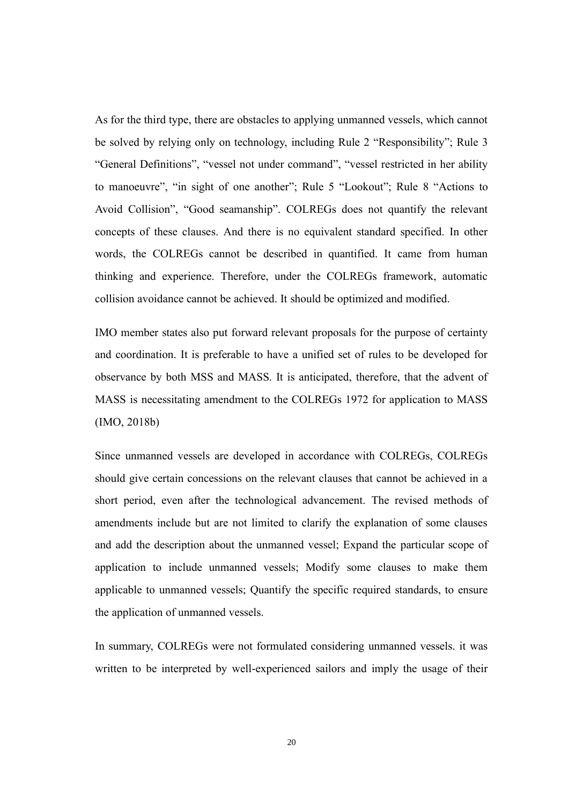As for the third type, there are obstacles to applying unmanned vessels, which cannot be solved by relying only on technology, including Rule 2 "Responsibility"; Rule 3 "General Definitions", "vessel not under command", "vessel restricted in her ability to manoeuvre", "in sight of one another"; Rule 5 "Lookout"; Rule 8 "Actions to Avoid Collision", "Good seamanship". COLREGs does not quantify the relevant concepts of these clauses. And there is no equivalent standard specified. In other words, the COLREGs cannot be described in quantified. It came from human thinking and experience. Therefore, under the COLREGs framework, automatic collision avoidance cannot be achieved. It should be optimized and modified.

IMO member states also put forward relevant proposals for the purpose of certainty and coordination. It is preferable to have a unified set of rules to be developed for observance by both MSS and MASS. It is anticipated, therefore, that the advent of MASS is necessitating amendment to the COLREGs 1972 for application to MASS (IMO, 2018b)

Since unmanned vessels are developed in accordance with COLREGs, COLREGs should give certain concessions on the relevant clauses that cannot be achieved in a short period, even after the technological advancement. The revised methods of amendments include but are not limited to clarify the explanation of some clauses and add the description about the unmanned vessel; Expand the particular scope of application to include unmanned vessels; Modify some clauses to make them applicable to unmanned vessels; Quantify the specific required standards, to ensure the application of unmanned vessels.

In summary, COLREGs were not formulated considering unmanned vessels. it was written to be interpreted by well-experienced sailors and imply the usage of their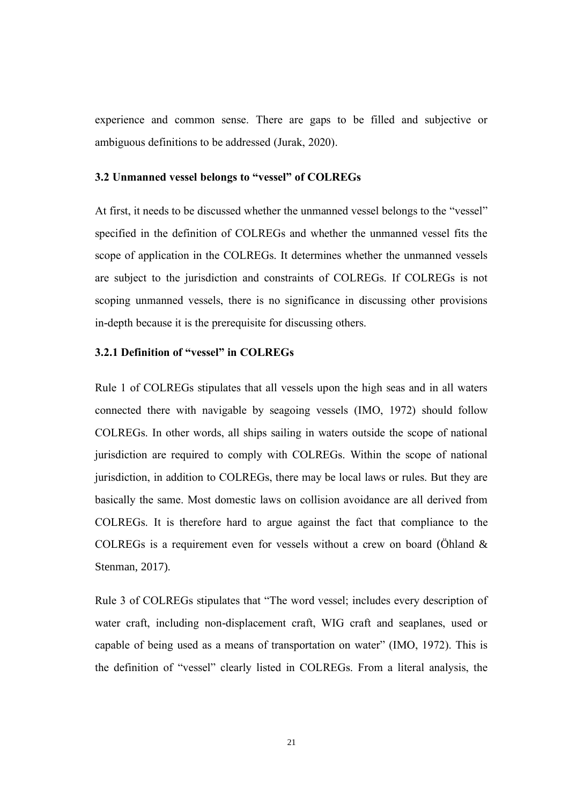experience and common sense. There are gaps to be filled and subjective or ambiguous definitions to be addressed (Jurak, 2020).

#### <span id="page-29-0"></span>**3.2 Unmanned vessel belongs to "vessel" of COLREGs**

At first, it needs to be discussed whether the unmanned vessel belongs to the "vessel" specified in the definition of COLREGs and whether the unmanned vessel fits the scope of application in the COLREGs. It determines whether the unmanned vessels are subject to the jurisdiction and constraints of COLREGs. If COLREGs is not scoping unmanned vessels, there is no significance in discussing other provisions in-depth because it is the prerequisite for discussing others.

#### <span id="page-29-1"></span>**3.2.1 Definition of "vessel" in COLREGs**

Rule 1 of COLREGs stipulates that all vessels upon the high seas and in all waters connected there with navigable by seagoing vessels (IMO, 1972) should follow COLREGs. In other words, all ships sailing in waters outside the scope of national jurisdiction are required to comply with COLREGs. Within the scope of national jurisdiction, in addition to COLREGs, there may be local laws or rules. But they are basically the same. Most domestic laws on collision avoidance are all derived from COLREGs. It is therefore hard to argue against the fact that compliance to the COLREGs is a requirement even for vessels without a crew on board (Öhland  $\&$ Stenman, 2017).

Rule 3 of COLREGs stipulates that "The word vessel; includes every description of water craft, including non-displacement craft, WIG craft and seaplanes, used or capable of being used as a means of transportation on water" (IMO, 1972). This is the definition of "vessel" clearly listed in COLREGs. From a literal analysis, the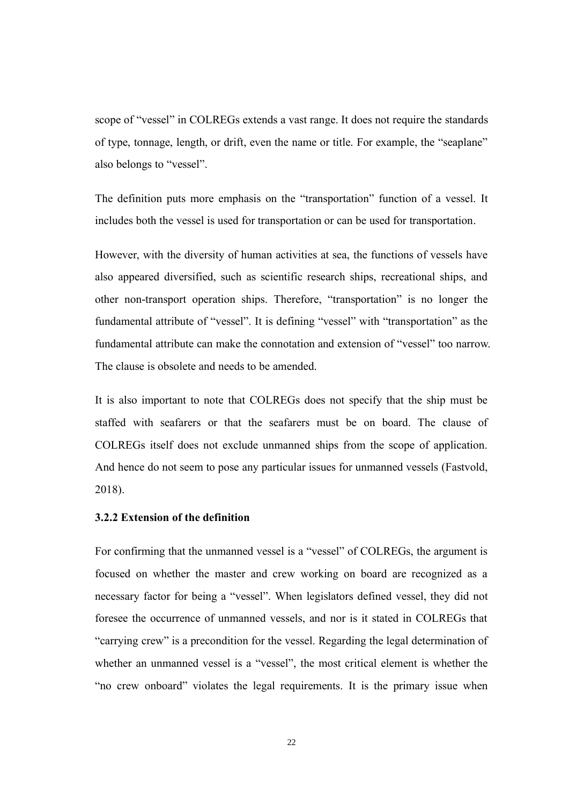scope of "vessel" in COLREGs extends a vast range. It does not require the standards of type, tonnage, length, or drift, even the name or title. For example, the "seaplane" also belongs to "vessel".

The definition puts more emphasis on the "transportation" function of a vessel. It includes both the vessel is used for transportation or can be used for transportation.

However, with the diversity of human activities at sea, the functions of vessels have also appeared diversified, such as scientific research ships, recreational ships, and other non-transport operation ships. Therefore, "transportation" is no longer the fundamental attribute of "vessel". It is defining "vessel" with "transportation" as the fundamental attribute can make the connotation and extension of "vessel" too narrow. The clause is obsolete and needs to be amended.

It is also important to note that COLREGs does not specify that the ship must be staffed with seafarers or that the seafarers must be on board. The clause of COLREGs itself does not exclude unmanned ships from the scope of application. And hence do not seem to pose any particular issues for unmanned vessels (Fastvold, 2018).

#### <span id="page-30-0"></span>**3.2.2 Extension of the definition**

For confirming that the unmanned vessel is a "vessel" of COLREGs, the argument is focused on whether the master and crew working on board are recognized as a necessary factor for being a "vessel". When legislators defined vessel, they did not foresee the occurrence of unmanned vessels, and nor is it stated in COLREGs that "carrying crew" is a precondition for the vessel. Regarding the legal determination of whether an unmanned vessel is a "vessel", the most critical element is whether the "no crew onboard" violates the legal requirements. It is the primary issue when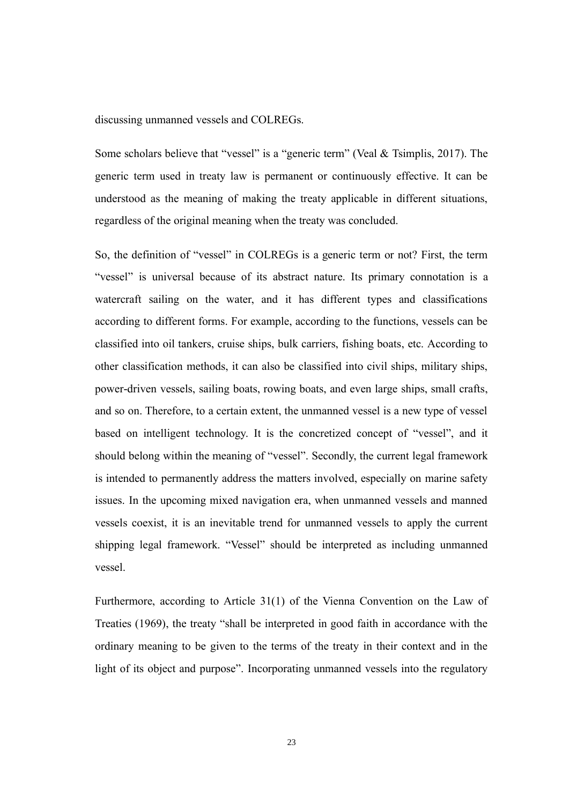discussing unmanned vessels and COLREGs.

Some scholars believe that "vessel" is a "generic term" (Veal & Tsimplis, 2017). The generic term used in treaty law is permanent or continuously effective. It can be understood as the meaning of making the treaty applicable in different situations, regardless of the original meaning when the treaty was concluded.

So, the definition of "vessel" in COLREGs is a generic term or not? First, the term "vessel" is universal because of its abstract nature. Its primary connotation is a watercraft sailing on the water, and it has different types and classifications according to different forms. For example, according to the functions, vessels can be classified into oil tankers, cruise ships, bulk carriers, fishing boats, etc. According to other classification methods, it can also be classified into civil ships, military ships, power-driven vessels, sailing boats, rowing boats, and even large ships, small crafts, and so on. Therefore, to a certain extent, the unmanned vessel is a new type of vessel based on intelligent technology. It is the concretized concept of "vessel", and it should belong within the meaning of "vessel". Secondly, the current legal framework is intended to permanently address the matters involved, especially on marine safety issues. In the upcoming mixed navigation era, when unmanned vessels and manned vessels coexist, it is an inevitable trend for unmanned vessels to apply the current shipping legal framework. "Vessel" should be interpreted as including unmanned vessel.

Furthermore, according to Article 31(1) of the Vienna Convention on the Law of Treaties (1969), the treaty "shall be interpreted in good faith in accordance with the ordinary meaning to be given to the terms of the treaty in their context and in the light of its object and purpose". Incorporating unmanned vessels into the regulatory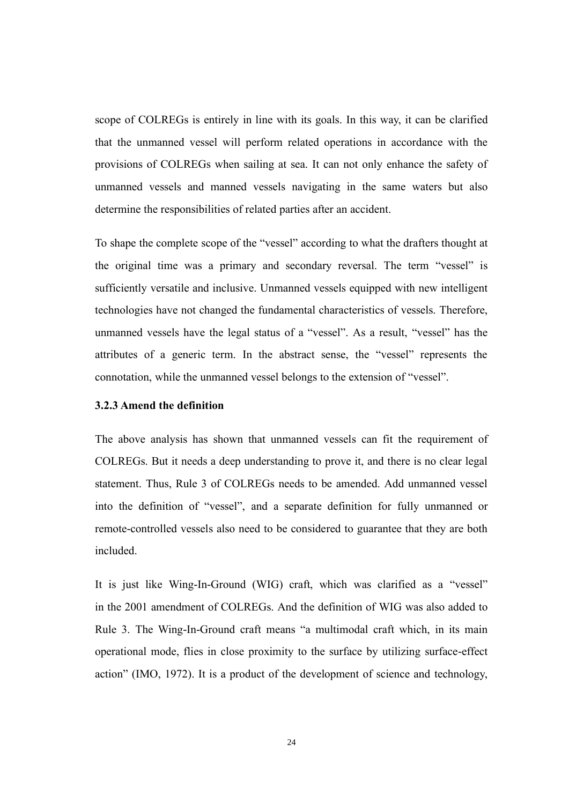scope of COLREGs is entirely in line with its goals. In this way, it can be clarified that the unmanned vessel will perform related operations in accordance with the provisions of COLREGs when sailing at sea. It can not only enhance the safety of unmanned vessels and manned vessels navigating in the same waters but also determine the responsibilities of related parties after an accident.

To shape the complete scope of the "vessel" according to what the drafters thought at the original time was a primary and secondary reversal. The term "vessel" is sufficiently versatile and inclusive. Unmanned vessels equipped with new intelligent technologies have not changed the fundamental characteristics of vessels. Therefore, unmanned vessels have the legal status of a "vessel". As a result, "vessel" has the attributes of a generic term. In the abstract sense, the "vessel" represents the connotation, while the unmanned vessel belongs to the extension of "vessel".

#### <span id="page-32-0"></span>**3.2.3 Amend the definition**

The above analysis has shown that unmanned vessels can fit the requirement of COLREGs. But it needs a deep understanding to prove it, and there is no clear legal statement. Thus, Rule 3 of COLREGs needs to be amended. Add unmanned vessel into the definition of "vessel", and a separate definition for fully unmanned or remote-controlled vessels also need to be considered to guarantee that they are both included.

It is just like Wing-In-Ground (WIG) craft, which was clarified as a "vessel" in the 2001 amendment of COLREGs. And the definition of WIG was also added to Rule 3. The Wing-In-Ground craft means "a multimodal craft which, in its main operational mode, flies in close proximity to the surface by utilizing surface-effect action" (IMO, 1972). It is a product of the development of science and technology,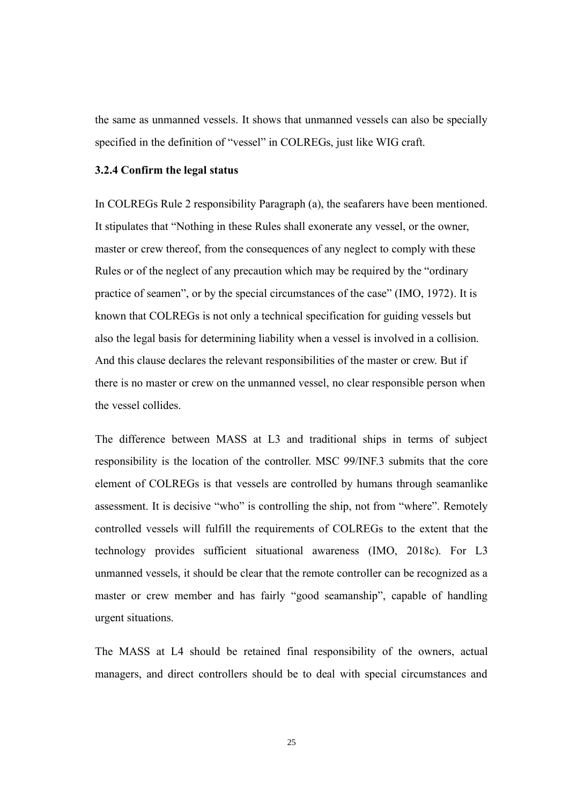the same as unmanned vessels. It shows that unmanned vessels can also be specially specified in the definition of "vessel" in COLREGs, just like WIG craft.

#### <span id="page-33-0"></span>**3.2.4 Confirm the legal status**

In COLREGs Rule 2 responsibility Paragraph (a), the seafarers have been mentioned. It stipulates that "Nothing in these Rules shall exonerate any vessel, or the owner, master or crew thereof, from the consequences of any neglect to comply with these Rules or of the neglect of any precaution which may be required by the "ordinary practice of seamen", or by the special circumstances of the case" (IMO, 1972). It is known that COLREGs is not only a technical specification for guiding vessels but also the legal basis for determining liability when a vessel is involved in a collision. And this clause declares the relevant responsibilities of the master or crew. But if there is no master or crew on the unmanned vessel, no clear responsible person when the vessel collides.

The difference between MASS at L3 and traditional ships in terms of subject responsibility is the location of the controller. MSC 99/INF.3 submits that the core element of COLREGs is that vessels are controlled by humans through seamanlike assessment. It is decisive "who" is controlling the ship, not from "where". Remotely controlled vessels will fulfill the requirements of COLREGs to the extent that the technology provides sufficient situational awareness (IMO, 2018c). For L3 unmanned vessels, it should be clear that the remote controller can be recognized as a master or crew member and has fairly "good seamanship", capable of handling urgent situations.

The MASS at L4 should be retained final responsibility of the owners, actual managers, and direct controllers should be to deal with special circumstances and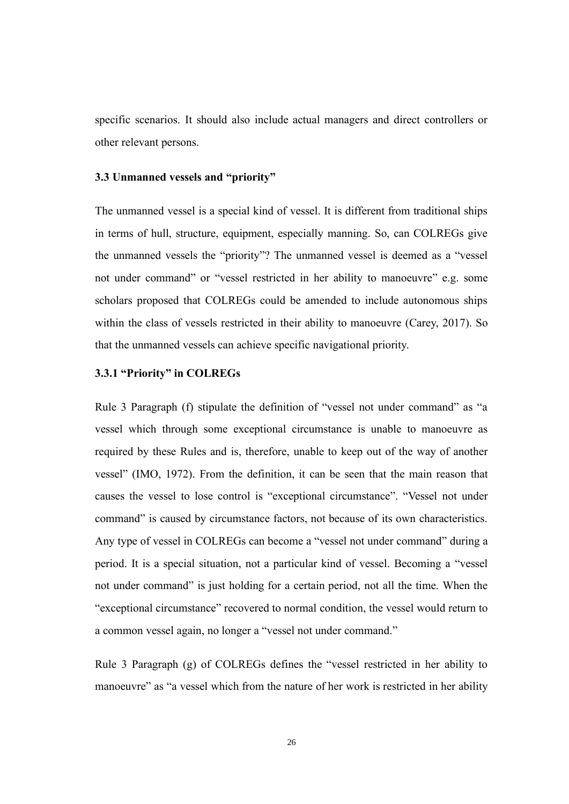specific scenarios. It should also include actual managers and direct controllers or other relevant persons.

#### <span id="page-34-0"></span>**3.3 Unmanned vessels and "priority"**

The unmanned vessel is a special kind of vessel. It is different from traditional ships in terms of hull, structure, equipment, especially manning. So, can COLREGs give the unmanned vessels the "priority"? The unmanned vessel is deemed as a "vessel not under command" or "vessel restricted in her ability to manoeuvre" e.g. some scholars proposed that COLREGs could be amended to include autonomous ships within the class of vessels restricted in their ability to manoeuvre (Carey, 2017). So that the unmanned vessels can achieve specific navigational priority.

#### <span id="page-34-1"></span>**3.3.1 "Priority" in COLREGs**

Rule 3 Paragraph (f) stipulate the definition of "vessel not under command" as "a vessel which through some exceptional circumstance is unable to manoeuvre as required by these Rules and is, therefore, unable to keep out of the way of another vessel" (IMO, 1972). From the definition, it can be seen that the main reason that causes the vessel to lose control is "exceptional circumstance". "Vessel not under command" is caused by circumstance factors, not because of its own characteristics. Any type of vessel in COLREGs can become a "vessel not under command" during a period. It is a special situation, not a particular kind of vessel. Becoming a "vessel not under command" is just holding for a certain period, not all the time. When the "exceptional circumstance" recovered to normal condition, the vessel would return to a common vessel again, no longer a "vessel not under command."

Rule 3 Paragraph (g) of COLREGs defines the "vessel restricted in her ability to manoeuvre" as "a vessel which from the nature of her work is restricted in her ability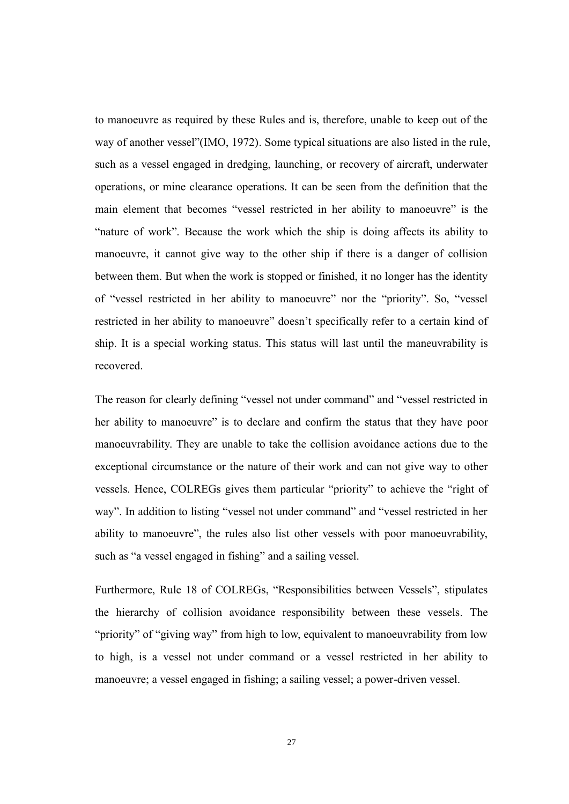to manoeuvre as required by these Rules and is, therefore, unable to keep out of the way of another vessel"(IMO, 1972). Some typical situations are also listed in the rule, such as a vessel engaged in dredging, launching, or recovery of aircraft, underwater operations, or mine clearance operations. It can be seen from the definition that the main element that becomes "vessel restricted in her ability to manoeuvre" is the "nature of work". Because the work which the ship is doing affects its ability to manoeuvre, it cannot give way to the other ship if there is a danger of collision between them. But when the work is stopped or finished, it no longer has the identity of "vessel restricted in her ability to manoeuvre" nor the "priority". So, "vessel restricted in her ability to manoeuvre" doesn't specifically refer to a certain kind of ship. It is a special working status. This status will last until the maneuvrability is recovered.

The reason for clearly defining "vessel not under command" and "vessel restricted in her ability to manoeuvre" is to declare and confirm the status that they have poor manoeuvrability. They are unable to take the collision avoidance actions due to the exceptional circumstance or the nature of their work and can not give way to other vessels. Hence, COLREGs gives them particular "priority" to achieve the "right of way". In addition to listing "vessel not under command" and "vessel restricted in her ability to manoeuvre", the rules also list other vessels with poor manoeuvrability, such as "a vessel engaged in fishing" and a sailing vessel.

Furthermore, Rule 18 of COLREGs, "Responsibilities between Vessels", stipulates the hierarchy of collision avoidance responsibility between these vessels. The "priority" of "giving way" from high to low, equivalent to manoeuvrability from low to high, is a vessel not under command or a vessel restricted in her ability to manoeuvre; a vessel engaged in fishing; a sailing vessel; a power-driven vessel.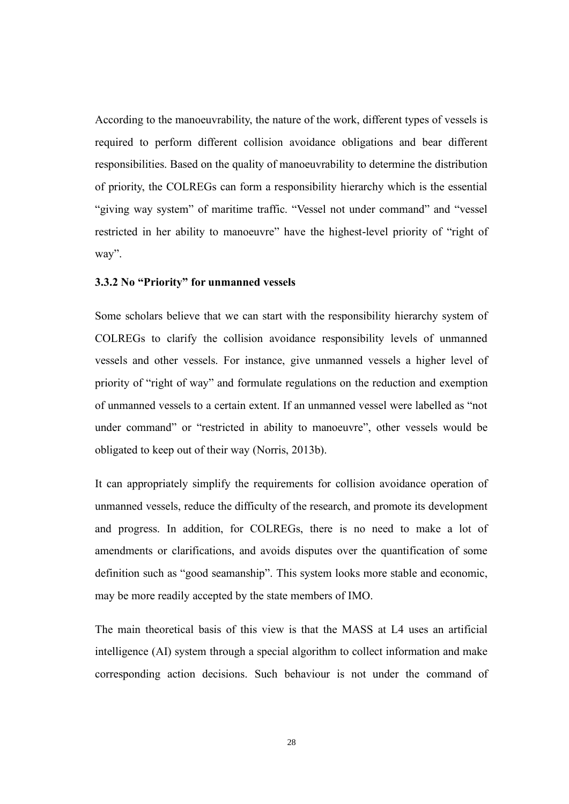According to the manoeuvrability, the nature of the work, different types of vessels is required to perform different collision avoidance obligations and bear different responsibilities. Based on the quality of manoeuvrability to determine the distribution of priority, the COLREGs can form a responsibility hierarchy which is the essential "giving way system" of maritime traffic. "Vessel not under command" and "vessel restricted in her ability to manoeuvre" have the highest-level priority of "right of way".

#### <span id="page-36-0"></span>**3.3.2 No "Priority" for unmanned vessels**

Some scholars believe that we can start with the responsibility hierarchy system of COLREGs to clarify the collision avoidance responsibility levels of unmanned vessels and other vessels. For instance, give unmanned vessels a higher level of priority of "right of way" and formulate regulations on the reduction and exemption of unmanned vessels to a certain extent. If an unmanned vessel were labelled as "not under command" or "restricted in ability to manoeuvre", other vessels would be obligated to keep out of their way (Norris, 2013b).

It can appropriately simplify the requirements for collision avoidance operation of unmanned vessels, reduce the difficulty of the research, and promote its development and progress. In addition, for COLREGs, there is no need to make a lot of amendments or clarifications, and avoids disputes over the quantification of some definition such as "good seamanship". This system looks more stable and economic, may be more readily accepted by the state members of IMO.

The main theoretical basis of this view is that the MASS at L4 uses an artificial intelligence (AI) system through a special algorithm to collect information and make corresponding action decisions. Such behaviour is not under the command of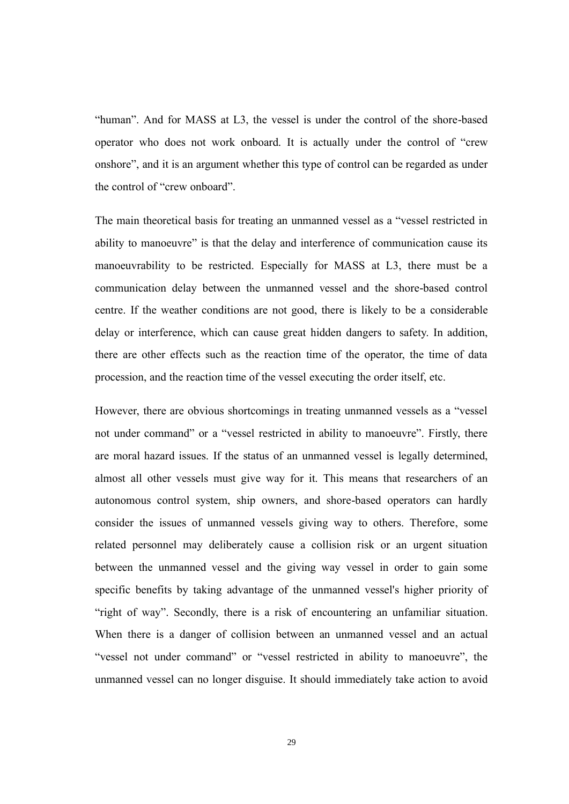"human". And for MASS at L3, the vessel is under the control of the shore-based operator who does not work onboard. It is actually under the control of "crew onshore", and it is an argument whether this type of control can be regarded as under the control of "crew onboard".

The main theoretical basis for treating an unmanned vessel as a "vessel restricted in ability to manoeuvre" is that the delay and interference of communication cause its manoeuvrability to be restricted. Especially for MASS at L3, there must be a communication delay between the unmanned vessel and the shore-based control centre. If the weather conditions are not good, there is likely to be a considerable delay or interference, which can cause great hidden dangers to safety. In addition, there are other effects such as the reaction time of the operator, the time of data procession, and the reaction time of the vessel executing the order itself, etc.

However, there are obvious shortcomings in treating unmanned vessels as a "vessel not under command" or a "vessel restricted in ability to manoeuvre". Firstly, there are moral hazard issues. If the status of an unmanned vessel is legally determined, almost all other vessels must give way for it. This means that researchers of an autonomous control system, ship owners, and shore-based operators can hardly consider the issues of unmanned vessels giving way to others. Therefore, some related personnel may deliberately cause a collision risk or an urgent situation between the unmanned vessel and the giving way vessel in order to gain some specific benefits by taking advantage of the unmanned vessel's higher priority of "right of way". Secondly, there is a risk of encountering an unfamiliar situation. When there is a danger of collision between an unmanned vessel and an actual "vessel not under command" or "vessel restricted in ability to manoeuvre", the unmanned vessel can no longer disguise. It should immediately take action to avoid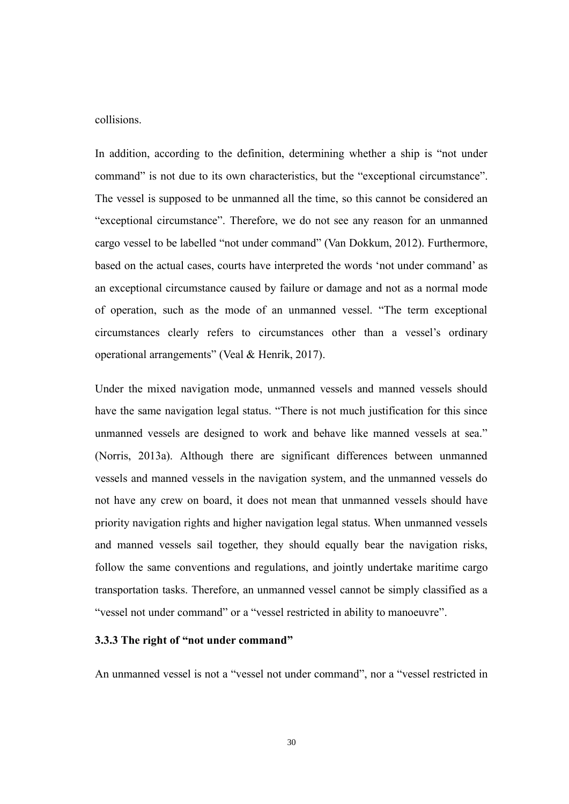collisions.

In addition, according to the definition, determining whether a ship is "not under command" is not due to its own characteristics, but the "exceptional circumstance". The vessel is supposed to be unmanned all the time, so this cannot be considered an "exceptional circumstance". Therefore, we do not see any reason for an unmanned cargo vessel to be labelled "not under command" (Van Dokkum, 2012). Furthermore, based on the actual cases, courts have interpreted the words 'not under command' as an exceptional circumstance caused by failure or damage and not as a normal mode of operation, such as the mode of an unmanned vessel. "The term exceptional circumstances clearly refers to circumstances other than a vessel's ordinary operational arrangements" (Veal & Henrik, 2017).

Under the mixed navigation mode, unmanned vessels and manned vessels should have the same navigation legal status. "There is not much justification for this since unmanned vessels are designed to work and behave like manned vessels at sea." (Norris, 2013a). Although there are significant differences between unmanned vessels and manned vessels in the navigation system, and the unmanned vessels do not have any crew on board, it does not mean that unmanned vessels should have priority navigation rights and higher navigation legal status. When unmanned vessels and manned vessels sail together, they should equally bear the navigation risks, follow the same conventions and regulations, and jointly undertake maritime cargo transportation tasks. Therefore, an unmanned vessel cannot be simply classified as a "vessel not under command" or a "vessel restricted in ability to manoeuvre".

#### <span id="page-38-0"></span>**3.3.3 The right of "not under command"**

An unmanned vessel is not a "vessel not under command", nor a "vessel restricted in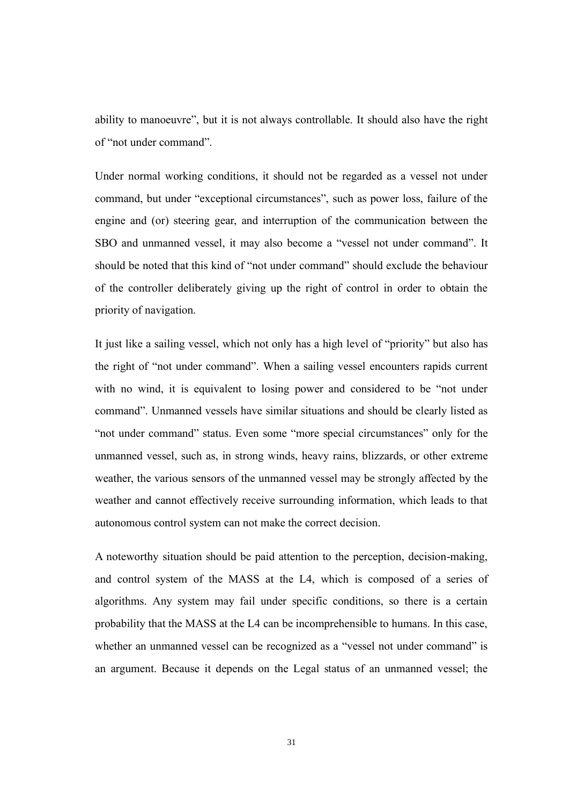ability to manoeuvre", but it is not always controllable. It should also have the right of "not under command".

Under normal working conditions, it should not be regarded as a vessel not under command, but under "exceptional circumstances", such as power loss, failure of the engine and (or) steering gear, and interruption of the communication between the SBO and unmanned vessel, it may also become a "vessel not under command". It should be noted that this kind of "not under command" should exclude the behaviour of the controller deliberately giving up the right of control in order to obtain the priority of navigation.

It just like a sailing vessel, which not only has a high level of "priority" but also has the right of "not under command". When a sailing vessel encounters rapids current with no wind, it is equivalent to losing power and considered to be "not under command". Unmanned vessels have similar situations and should be clearly listed as "not under command" status. Even some "more special circumstances" only for the unmanned vessel, such as, in strong winds, heavy rains, blizzards, or other extreme weather, the various sensors of the unmanned vessel may be strongly affected by the weather and cannot effectively receive surrounding information, which leads to that autonomous control system can not make the correct decision.

A noteworthy situation should be paid attention to the perception, decision-making, and control system of the MASS at the L4, which is composed of a series of algorithms. Any system may fail under specific conditions, so there is a certain probability that the MASS at the L4 can be incomprehensible to humans. In this case, whether an unmanned vessel can be recognized as a "vessel not under command" is an argument. Because it depends on the Legal status of an unmanned vessel; the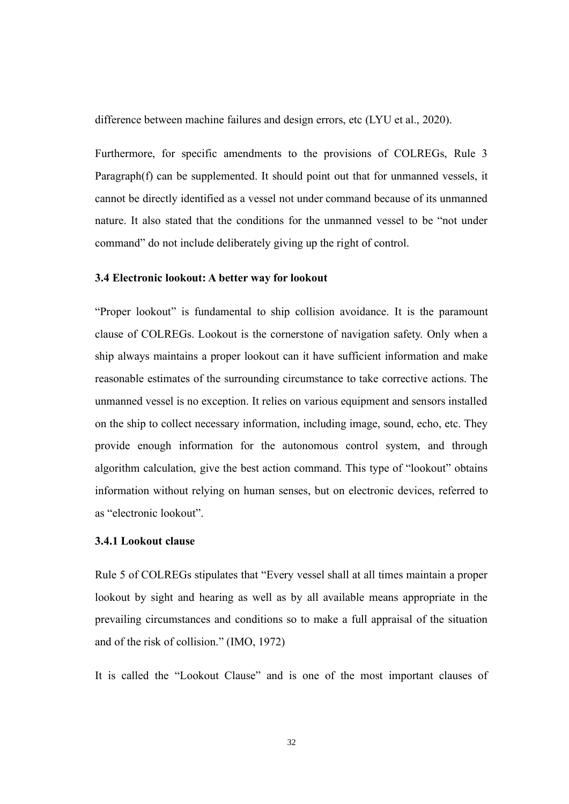difference between machine failures and design errors, etc (LYU et al., 2020).

Furthermore, for specific amendments to the provisions of COLREGs, Rule 3 Paragraph(f) can be supplemented. It should point out that for unmanned vessels, it cannot be directly identified as a vessel not under command because of its unmanned nature. It also stated that the conditions for the unmanned vessel to be "not under command" do not include deliberately giving up the right of control.

#### <span id="page-40-0"></span>**3.4 Electronic lookout: A better way for lookout**

"Proper lookout" is fundamental to ship collision avoidance. It is the paramount clause of COLREGs. Lookout is the cornerstone of navigation safety. Only when a ship always maintains a proper lookout can it have sufficient information and make reasonable estimates of the surrounding circumstance to take corrective actions. The unmanned vessel is no exception. It relies on various equipment and sensors installed on the ship to collect necessary information, including image, sound, echo, etc. They provide enough information for the autonomous control system, and through algorithm calculation, give the best action command. This type of "lookout" obtains information without relying on human senses, but on electronic devices, referred to as "electronic lookout".

#### <span id="page-40-1"></span>**3.4.1 Lookout clause**

Rule 5 of COLREGs stipulates that "Every vessel shall at all times maintain a proper lookout by sight and hearing as well as by all available means appropriate in the prevailing circumstances and conditions so to make a full appraisal of the situation and of the risk of collision." (IMO, 1972)

It is called the "Lookout Clause" and is one of the most important clauses of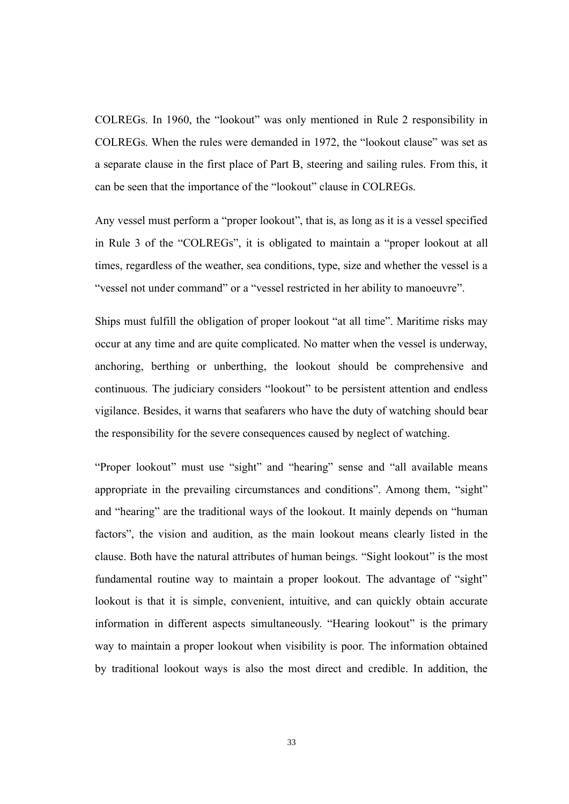COLREGs. In 1960, the "lookout" was only mentioned in Rule 2 responsibility in COLREGs. When the rules were demanded in 1972, the "lookout clause" was set as a separate clause in the first place of Part B, steering and sailing rules. From this, it can be seen that the importance of the "lookout" clause in COLREGs.

Any vessel must perform a "proper lookout", that is, as long as it is a vessel specified in Rule 3 of the "COLREGs", it is obligated to maintain a "proper lookout at all times, regardless of the weather, sea conditions, type, size and whether the vessel is a "vessel not under command" or a "vessel restricted in her ability to manoeuvre".

Ships must fulfill the obligation of proper lookout "at all time". Maritime risks may occur at any time and are quite complicated. No matter when the vessel is underway, anchoring, berthing or unberthing, the lookout should be comprehensive and continuous. The judiciary considers "lookout" to be persistent attention and endless vigilance. Besides, it warns that seafarers who have the duty of watching should bear the responsibility for the severe consequences caused by neglect of watching.

"Proper lookout" must use "sight" and "hearing" sense and "all available means appropriate in the prevailing circumstances and conditions". Among them, "sight" and "hearing" are the traditional ways of the lookout. It mainly depends on "human factors", the vision and audition, as the main lookout means clearly listed in the clause. Both have the natural attributes of human beings. "Sight lookout" is the most fundamental routine way to maintain a proper lookout. The advantage of "sight" lookout is that it is simple, convenient, intuitive, and can quickly obtain accurate information in different aspects simultaneously. "Hearing lookout" is the primary way to maintain a proper lookout when visibility is poor. The information obtained by traditional lookout ways is also the most direct and credible. In addition, the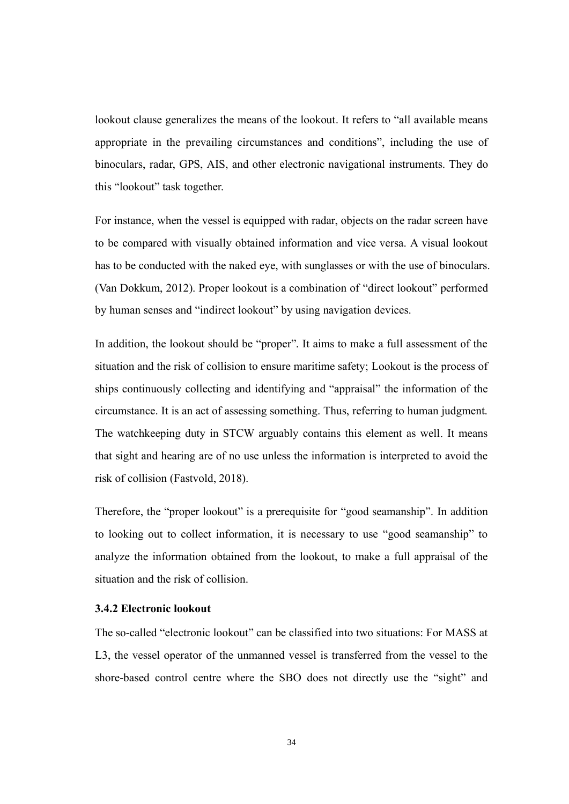lookout clause generalizes the means of the lookout. It refers to "all available means appropriate in the prevailing circumstances and conditions", including the use of binoculars, radar, GPS, AIS, and other electronic navigational instruments. They do this "lookout" task together.

For instance, when the vessel is equipped with radar, objects on the radar screen have to be compared with visually obtained information and vice versa. A visual lookout has to be conducted with the naked eye, with sunglasses or with the use of binoculars. (Van Dokkum, 2012). Proper lookout is a combination of "direct lookout" performed by human senses and "indirect lookout" by using navigation devices.

In addition, the lookout should be "proper". It aims to make a full assessment of the situation and the risk of collision to ensure maritime safety; Lookout is the process of ships continuously collecting and identifying and "appraisal" the information of the circumstance. It is an act of assessing something. Thus, referring to human judgment. The watchkeeping duty in STCW arguably contains this element as well. It means that sight and hearing are of no use unless the information is interpreted to avoid the risk of collision (Fastvold, 2018).

Therefore, the "proper lookout" is a prerequisite for "good seamanship". In addition to looking out to collect information, it is necessary to use "good seamanship" to analyze the information obtained from the lookout, to make a full appraisal of the situation and the risk of collision.

#### <span id="page-42-0"></span>**3.4.2 Electronic lookout**

The so-called "electronic lookout" can be classified into two situations: For MASS at L3, the vessel operator of the unmanned vessel is transferred from the vessel to the shore-based control centre where the SBO does not directly use the "sight" and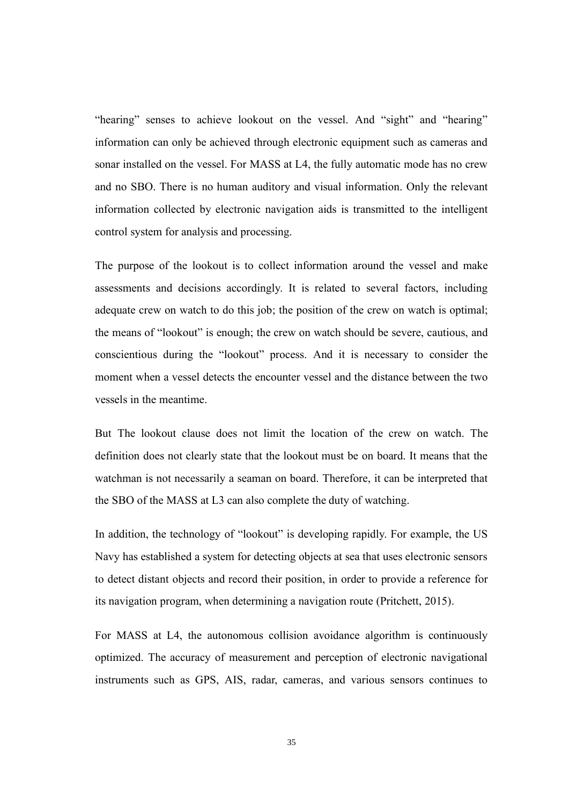"hearing" senses to achieve lookout on the vessel. And "sight" and "hearing" information can only be achieved through electronic equipment such as cameras and sonar installed on the vessel. For MASS at L4, the fully automatic mode has no crew and no SBO. There is no human auditory and visual information. Only the relevant information collected by electronic navigation aids is transmitted to the intelligent control system for analysis and processing.

The purpose of the lookout is to collect information around the vessel and make assessments and decisions accordingly. It is related to several factors, including adequate crew on watch to do this job; the position of the crew on watch is optimal; the means of "lookout" is enough; the crew on watch should be severe, cautious, and conscientious during the "lookout" process. And it is necessary to consider the moment when a vessel detects the encounter vessel and the distance between the two vessels in the meantime.

But The lookout clause does not limit the location of the crew on watch. The definition does not clearly state that the lookout must be on board. It means that the watchman is not necessarily a seaman on board. Therefore, it can be interpreted that the SBO of the MASS at L3 can also complete the duty of watching.

In addition, the technology of "lookout" is developing rapidly. For example, the US Navy has established a system for detecting objects at sea that uses electronic sensors to detect distant objects and record their position, in order to provide a reference for its navigation program, when determining a navigation route (Pritchett, 2015).

For MASS at L4, the autonomous collision avoidance algorithm is continuously optimized. The accuracy of measurement and perception of electronic navigational instruments such as GPS, AIS, radar, cameras, and various sensors continues to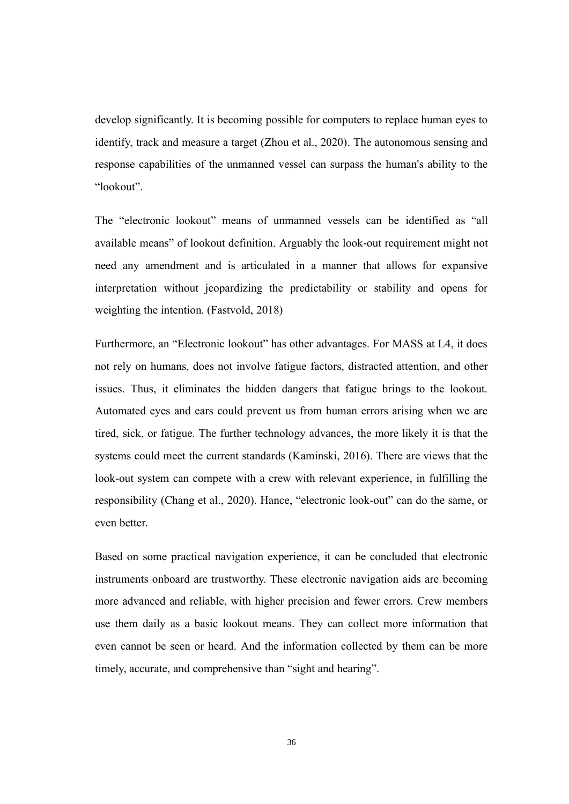develop significantly. It is becoming possible for computers to replace human eyes to identify, track and measure a target (Zhou et al., 2020). The autonomous sensing and response capabilities of the unmanned vessel can surpass the human's ability to the "lookout".

The "electronic lookout" means of unmanned vessels can be identified as "all available means" of lookout definition. Arguably the look-out requirement might not need any amendment and is articulated in a manner that allows for expansive interpretation without jeopardizing the predictability or stability and opens for weighting the intention. (Fastvold, 2018)

Furthermore, an "Electronic lookout" has other advantages. For MASS at L4, it does not rely on humans, does not involve fatigue factors, distracted attention, and other issues. Thus, it eliminates the hidden dangers that fatigue brings to the lookout. Automated eyes and ears could prevent us from human errors arising when we are tired, sick, or fatigue. The further technology advances, the more likely it is that the systems could meet the current standards (Kaminski, 2016). There are views that the look-out system can compete with a crew with relevant experience, in fulfilling the responsibility (Chang et al., 2020). Hance, "electronic look-out" can do the same, or even better.

Based on some practical navigation experience, it can be concluded that electronic instruments onboard are trustworthy. These electronic navigation aids are becoming more advanced and reliable, with higher precision and fewer errors. Crew members use them daily as a basic lookout means. They can collect more information that even cannot be seen or heard. And the information collected by them can be more timely, accurate, and comprehensive than "sight and hearing".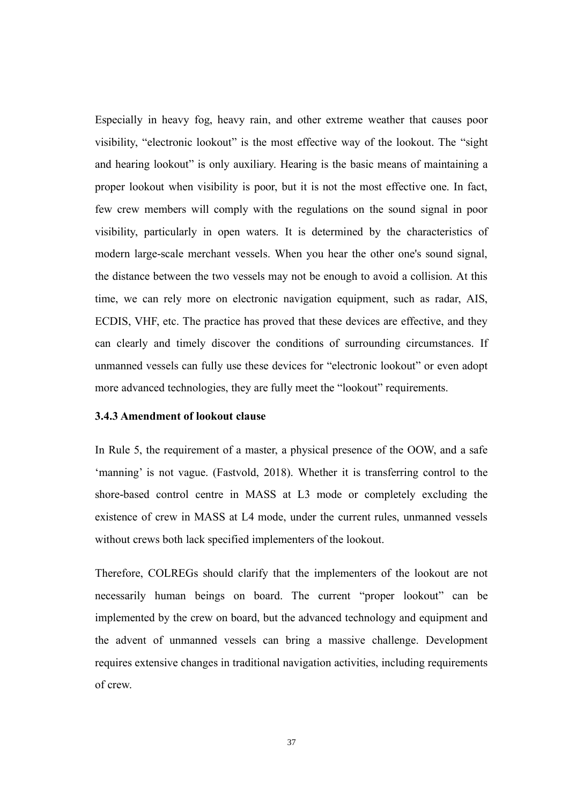Especially in heavy fog, heavy rain, and other extreme weather that causes poor visibility, "electronic lookout" is the most effective way of the lookout. The "sight and hearing lookout" is only auxiliary. Hearing is the basic means of maintaining a proper lookout when visibility is poor, but it is not the most effective one. In fact, few crew members will comply with the regulations on the sound signal in poor visibility, particularly in open waters. It is determined by the characteristics of modern large-scale merchant vessels. When you hear the other one's sound signal, the distance between the two vessels may not be enough to avoid a collision. At this time, we can rely more on electronic navigation equipment, such as radar, AIS, ECDIS, VHF, etc. The practice has proved that these devices are effective, and they can clearly and timely discover the conditions of surrounding circumstances. If unmanned vessels can fully use these devices for "electronic lookout" or even adopt more advanced technologies, they are fully meet the "lookout" requirements.

#### <span id="page-45-0"></span>**3.4.3 Amendment of lookout clause**

In Rule 5, the requirement of a master, a physical presence of the OOW, and a safe 'manning' is not vague. (Fastvold, 2018). Whether it is transferring control to the shore-based control centre in MASS at L3 mode or completely excluding the existence of crew in MASS at L4 mode, under the current rules, unmanned vessels without crews both lack specified implementers of the lookout.

Therefore, COLREGs should clarify that the implementers of the lookout are not necessarily human beings on board. The current "proper lookout" can be implemented by the crew on board, but the advanced technology and equipment and the advent of unmanned vessels can bring a massive challenge. Development requires extensive changes in traditional navigation activities, including requirements of crew.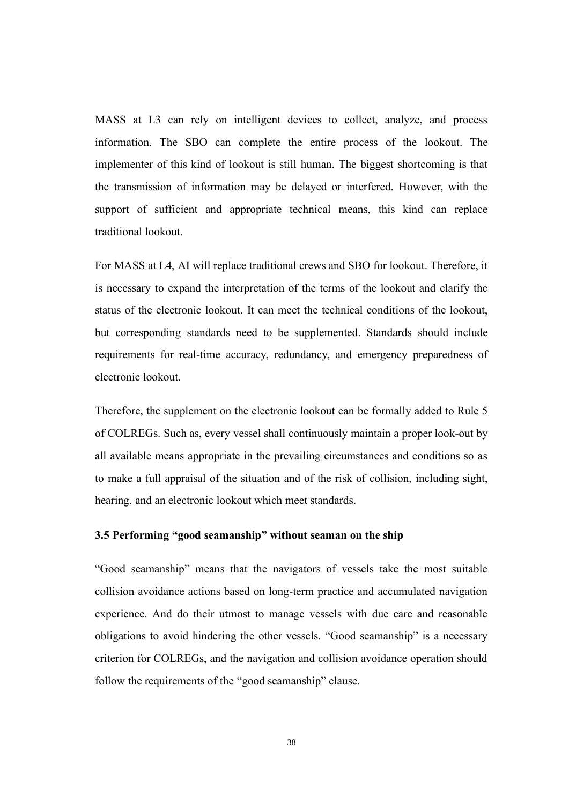MASS at L3 can rely on intelligent devices to collect, analyze, and process information. The SBO can complete the entire process of the lookout. The implementer of this kind of lookout is still human. The biggest shortcoming is that the transmission of information may be delayed or interfered. However, with the support of sufficient and appropriate technical means, this kind can replace traditional lookout.

For MASS at L4, AI will replace traditional crews and SBO for lookout. Therefore, it is necessary to expand the interpretation of the terms of the lookout and clarify the status of the electronic lookout. It can meet the technical conditions of the lookout, but corresponding standards need to be supplemented. Standards should include requirements for real-time accuracy, redundancy, and emergency preparedness of electronic lookout.

Therefore, the supplement on the electronic lookout can be formally added to Rule 5 of COLREGs. Such as, every vessel shall continuously maintain a proper look-out by all available means appropriate in the prevailing circumstances and conditions so as to make a full appraisal of the situation and of the risk of collision, including sight, hearing, and an electronic lookout which meet standards.

#### <span id="page-46-0"></span>**3.5 Performing "good seamanship" without seaman on the ship**

"Good seamanship" means that the navigators of vessels take the most suitable collision avoidance actions based on long-term practice and accumulated navigation experience. And do their utmost to manage vessels with due care and reasonable obligations to avoid hindering the other vessels. "Good seamanship" is a necessary criterion for COLREGs, and the navigation and collision avoidance operation should follow the requirements of the "good seamanship" clause.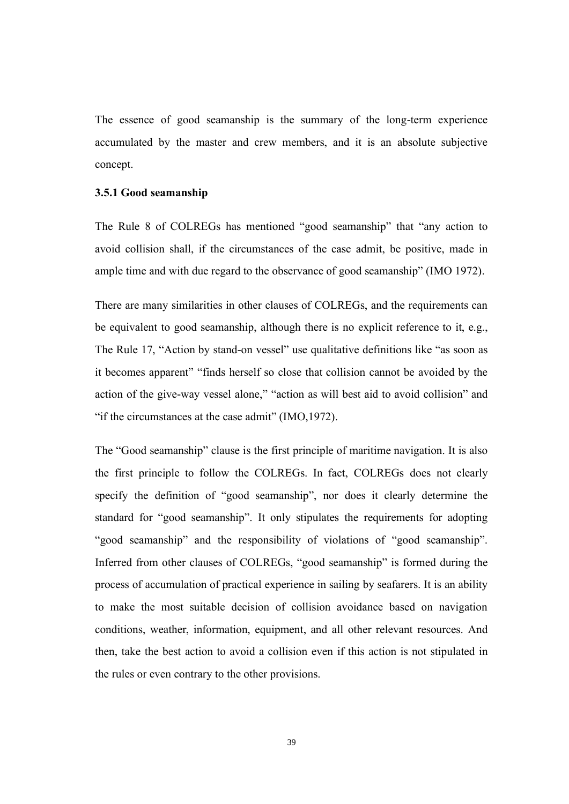The essence of good seamanship is the summary of the long-term experience accumulated by the master and crew members, and it is an absolute subjective concept.

#### <span id="page-47-0"></span>**3.5.1 Good seamanship**

The Rule 8 of COLREGs has mentioned "good seamanship" that "any action to avoid collision shall, if the circumstances of the case admit, be positive, made in ample time and with due regard to the observance of good seamanship" (IMO 1972).

There are many similarities in other clauses of COLREGs, and the requirements can be equivalent to good seamanship, although there is no explicit reference to it, e.g., The Rule 17, "Action by stand-on vessel" use qualitative definitions like "as soon as it becomes apparent" "finds herself so close that collision cannot be avoided by the action of the give-way vessel alone," "action as will best aid to avoid collision" and "if the circumstances at the case admit" (IMO,1972).

The "Good seamanship" clause is the first principle of maritime navigation. It is also the first principle to follow the COLREGs. In fact, COLREGs does not clearly specify the definition of "good seamanship", nor does it clearly determine the standard for "good seamanship". It only stipulates the requirements for adopting "good seamanship" and the responsibility of violations of "good seamanship". Inferred from other clauses of COLREGs, "good seamanship" is formed during the process of accumulation of practical experience in sailing by seafarers. It is an ability to make the most suitable decision of collision avoidance based on navigation conditions, weather, information, equipment, and all other relevant resources. And then, take the best action to avoid a collision even if this action is not stipulated in the rules or even contrary to the other provisions.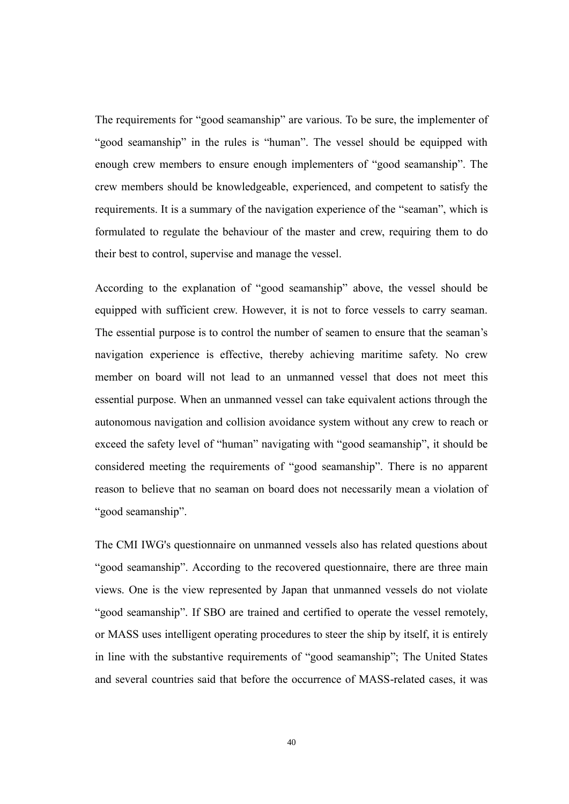The requirements for "good seamanship" are various. To be sure, the implementer of "good seamanship" in the rules is "human". The vessel should be equipped with enough crew members to ensure enough implementers of "good seamanship". The crew members should be knowledgeable, experienced, and competent to satisfy the requirements. It is a summary of the navigation experience of the "seaman", which is formulated to regulate the behaviour of the master and crew, requiring them to do their best to control, supervise and manage the vessel.

According to the explanation of "good seamanship" above, the vessel should be equipped with sufficient crew. However, it is not to force vessels to carry seaman. The essential purpose is to control the number of seamen to ensure that the seaman's navigation experience is effective, thereby achieving maritime safety. No crew member on board will not lead to an unmanned vessel that does not meet this essential purpose. When an unmanned vessel can take equivalent actions through the autonomous navigation and collision avoidance system without any crew to reach or exceed the safety level of "human" navigating with "good seamanship", it should be considered meeting the requirements of "good seamanship". There is no apparent reason to believe that no seaman on board does not necessarily mean a violation of "good seamanship".

The CMI IWG's questionnaire on unmanned vessels also has related questions about "good seamanship". According to the recovered questionnaire, there are three main views. One is the view represented by Japan that unmanned vessels do not violate "good seamanship". If SBO are trained and certified to operate the vessel remotely, or MASS uses intelligent operating procedures to steer the ship by itself, it is entirely in line with the substantive requirements of "good seamanship"; The United States and several countries said that before the occurrence of MASS-related cases, it was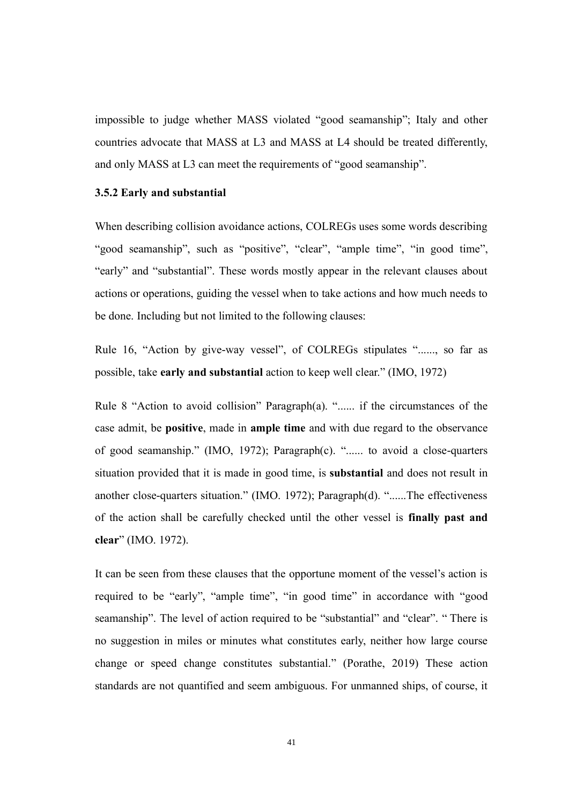impossible to judge whether MASS violated "good seamanship"; Italy and other countries advocate that MASS at L3 and MASS at L4 should be treated differently, and only MASS at L3 can meet the requirements of "good seamanship".

#### <span id="page-49-0"></span>**3.5.2 Early and substantial**

When describing collision avoidance actions, COLREGs uses some words describing "good seamanship", such as "positive", "clear", "ample time", "in good time", "early" and "substantial". These words mostly appear in the relevant clauses about actions or operations, guiding the vessel when to take actions and how much needs to be done. Including but not limited to the following clauses:

Rule 16, "Action by give-way vessel", of COLREGs stipulates "......, so far as possible, take **early and substantial** action to keep well clear." (IMO, 1972)

Rule 8 "Action to avoid collision" Paragraph(a). "...... if the circumstances of the case admit, be **positive**, made in **ample time** and with due regard to the observance of good seamanship." (IMO, 1972); Paragraph(c). "...... to avoid a close-quarters situation provided that it is made in good time, is **substantial** and does not result in another close-quarters situation." (IMO. 1972); Paragraph(d). "......The effectiveness of the action shall be carefully checked until the other vessel is **finally past and clear**" (IMO. 1972).

It can be seen from these clauses that the opportune moment of the vessel's action is required to be "early", "ample time", "in good time" in accordance with "good seamanship". The level of action required to be "substantial" and "clear". " There is no suggestion in miles or minutes what constitutes early, neither how large course change or speed change constitutes substantial." (Porathe, 2019) These action standards are not quantified and seem ambiguous. For unmanned ships, of course, it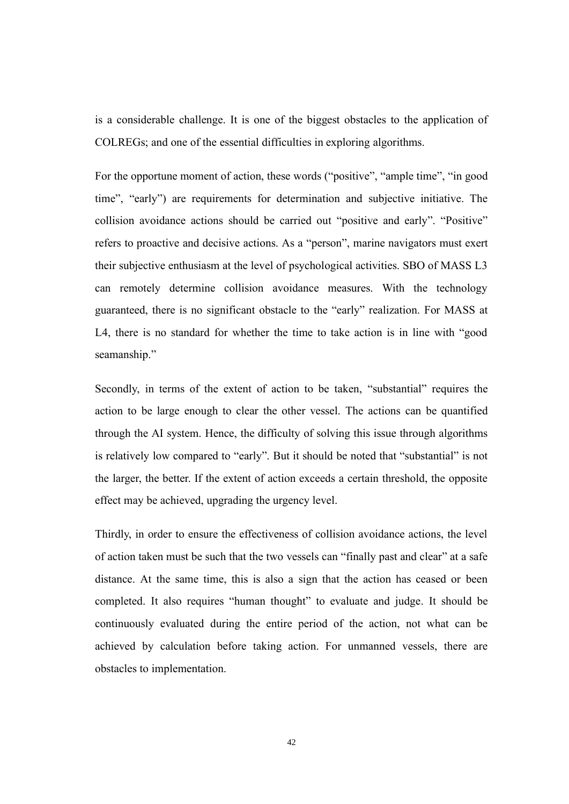is a considerable challenge. It is one of the biggest obstacles to the application of COLREGs; and one of the essential difficulties in exploring algorithms.

For the opportune moment of action, these words ("positive", "ample time", "in good time", "early") are requirements for determination and subjective initiative. The collision avoidance actions should be carried out "positive and early". "Positive" refers to proactive and decisive actions. As a "person", marine navigators must exert their subjective enthusiasm at the level of psychological activities. SBO of MASS L3 can remotely determine collision avoidance measures. With the technology guaranteed, there is no significant obstacle to the "early" realization. For MASS at L4, there is no standard for whether the time to take action is in line with "good seamanship."

Secondly, in terms of the extent of action to be taken, "substantial" requires the action to be large enough to clear the other vessel. The actions can be quantified through the AI system. Hence, the difficulty of solving this issue through algorithms is relatively low compared to "early". But it should be noted that "substantial" is not the larger, the better. If the extent of action exceeds a certain threshold, the opposite effect may be achieved, upgrading the urgency level.

Thirdly, in order to ensure the effectiveness of collision avoidance actions, the level of action taken must be such that the two vessels can "finally past and clear" at a safe distance. At the same time, this is also a sign that the action has ceased or been completed. It also requires "human thought" to evaluate and judge. It should be continuously evaluated during the entire period of the action, not what can be achieved by calculation before taking action. For unmanned vessels, there are obstacles to implementation.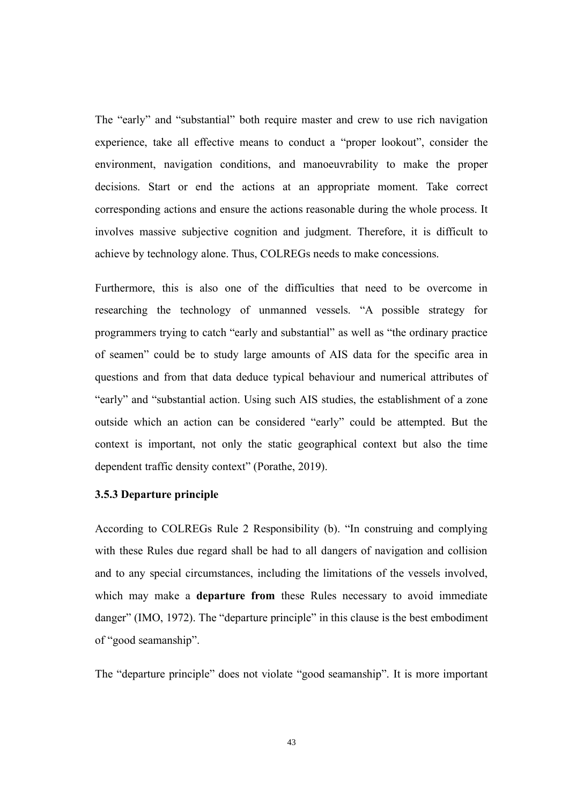The "early" and "substantial" both require master and crew to use rich navigation experience, take all effective means to conduct a "proper lookout", consider the environment, navigation conditions, and manoeuvrability to make the proper decisions. Start or end the actions at an appropriate moment. Take correct corresponding actions and ensure the actions reasonable during the whole process. It involves massive subjective cognition and judgment. Therefore, it is difficult to achieve by technology alone. Thus, COLREGs needs to make concessions.

Furthermore, this is also one of the difficulties that need to be overcome in researching the technology of unmanned vessels. "A possible strategy for programmers trying to catch "early and substantial" as well as "the ordinary practice of seamen" could be to study large amounts of AIS data for the specific area in questions and from that data deduce typical behaviour and numerical attributes of "early" and "substantial action. Using such AIS studies, the establishment of a zone outside which an action can be considered "early" could be attempted. But the context is important, not only the static geographical context but also the time dependent traffic density context" (Porathe, 2019).

#### <span id="page-51-0"></span>**3.5.3 Departure principle**

According to COLREGs Rule 2 Responsibility (b). "In construing and complying with these Rules due regard shall be had to all dangers of navigation and collision and to any special circumstances, including the limitations of the vessels involved, which may make a **departure from** these Rules necessary to avoid immediate danger" (IMO, 1972). The "departure principle" in this clause is the best embodiment of "good seamanship".

The "departure principle" does not violate "good seamanship". It is more important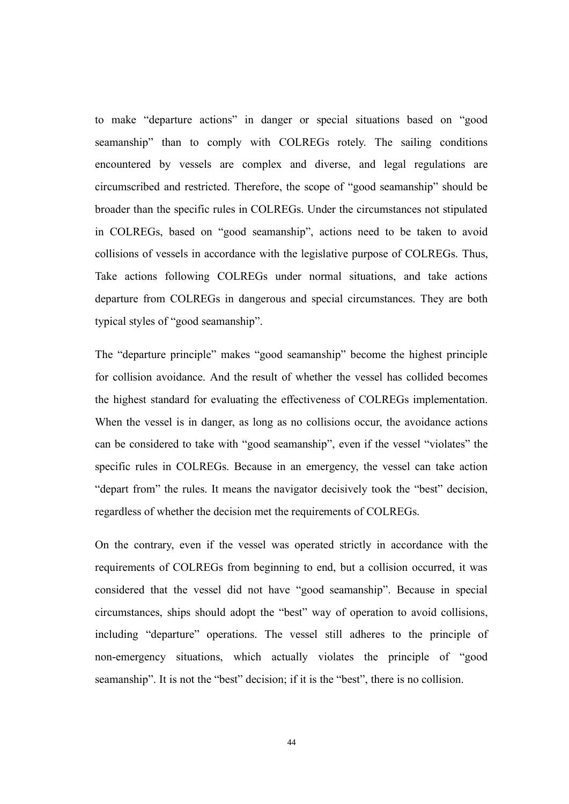to make "departure actions" in danger or special situations based on "good seamanship" than to comply with COLREGs rotely. The sailing conditions encountered by vessels are complex and diverse, and legal regulations are circumscribed and restricted. Therefore, the scope of "good seamanship" should be broader than the specific rules in COLREGs. Under the circumstances not stipulated in COLREGs, based on "good seamanship", actions need to be taken to avoid collisions of vessels in accordance with the legislative purpose of COLREGs. Thus, Take actions following COLREGs under normal situations, and take actions departure from COLREGs in dangerous and special circumstances. They are both typical styles of "good seamanship".

The "departure principle" makes "good seamanship" become the highest principle for collision avoidance. And the result of whether the vessel has collided becomes the highest standard for evaluating the effectiveness of COLREGs implementation. When the vessel is in danger, as long as no collisions occur, the avoidance actions can be considered to take with "good seamanship", even if the vessel "violates" the specific rules in COLREGs. Because in an emergency, the vessel can take action "depart from" the rules. It means the navigator decisively took the "best" decision, regardless of whether the decision met the requirements of COLREGs.

On the contrary, even if the vessel was operated strictly in accordance with the requirements of COLREGs from beginning to end, but a collision occurred, it was considered that the vessel did not have "good seamanship". Because in special circumstances, ships should adopt the "best" way of operation to avoid collisions, including "departure" operations. The vessel still adheres to the principle of non-emergency situations, which actually violates the principle of "good seamanship". It is not the "best" decision; if it is the "best", there is no collision.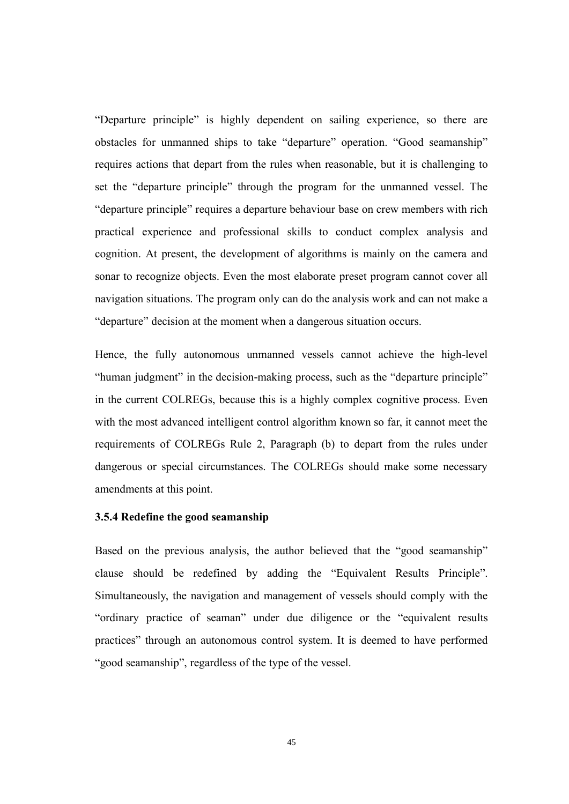"Departure principle" is highly dependent on sailing experience, so there are obstacles for unmanned ships to take "departure" operation. "Good seamanship" requires actions that depart from the rules when reasonable, but it is challenging to set the "departure principle" through the program for the unmanned vessel. The "departure principle" requires a departure behaviour base on crew members with rich practical experience and professional skills to conduct complex analysis and cognition. At present, the development of algorithms is mainly on the camera and sonar to recognize objects. Even the most elaborate preset program cannot cover all navigation situations. The program only can do the analysis work and can not make a "departure" decision at the moment when a dangerous situation occurs.

Hence, the fully autonomous unmanned vessels cannot achieve the high-level "human judgment" in the decision-making process, such as the "departure principle" in the current COLREGs, because this is a highly complex cognitive process. Even with the most advanced intelligent control algorithm known so far, it cannot meet the requirements of COLREGs Rule 2, Paragraph (b) to depart from the rules under dangerous or special circumstances. The COLREGs should make some necessary amendments at this point.

#### <span id="page-53-0"></span>**3.5.4 Redefine the good seamanship**

Based on the previous analysis, the author believed that the "good seamanship" clause should be redefined by adding the "Equivalent Results Principle". Simultaneously, the navigation and management of vessels should comply with the "ordinary practice of seaman" under due diligence or the "equivalent results practices" through an autonomous control system. It is deemed to have performed "good seamanship", regardless of the type of the vessel.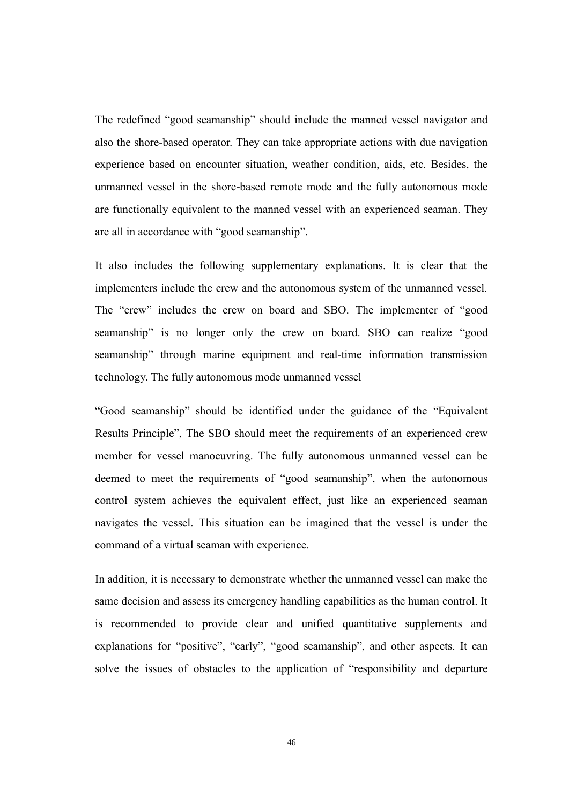The redefined "good seamanship" should include the manned vessel navigator and also the shore-based operator. They can take appropriate actions with due navigation experience based on encounter situation, weather condition, aids, etc. Besides, the unmanned vessel in the shore-based remote mode and the fully autonomous mode are functionally equivalent to the manned vessel with an experienced seaman. They are all in accordance with "good seamanship".

It also includes the following supplementary explanations. It is clear that the implementers include the crew and the autonomous system of the unmanned vessel. The "crew" includes the crew on board and SBO. The implementer of "good seamanship" is no longer only the crew on board. SBO can realize "good seamanship" through marine equipment and real-time information transmission technology. The fully autonomous mode unmanned vessel

"Good seamanship" should be identified under the guidance of the "Equivalent Results Principle", The SBO should meet the requirements of an experienced crew member for vessel manoeuvring. The fully autonomous unmanned vessel can be deemed to meet the requirements of "good seamanship", when the autonomous control system achieves the equivalent effect, just like an experienced seaman navigates the vessel. This situation can be imagined that the vessel is under the command of a virtual seaman with experience.

In addition, it is necessary to demonstrate whether the unmanned vessel can make the same decision and assess its emergency handling capabilities as the human control. It is recommended to provide clear and unified quantitative supplements and explanations for "positive", "early", "good seamanship", and other aspects. It can solve the issues of obstacles to the application of "responsibility and departure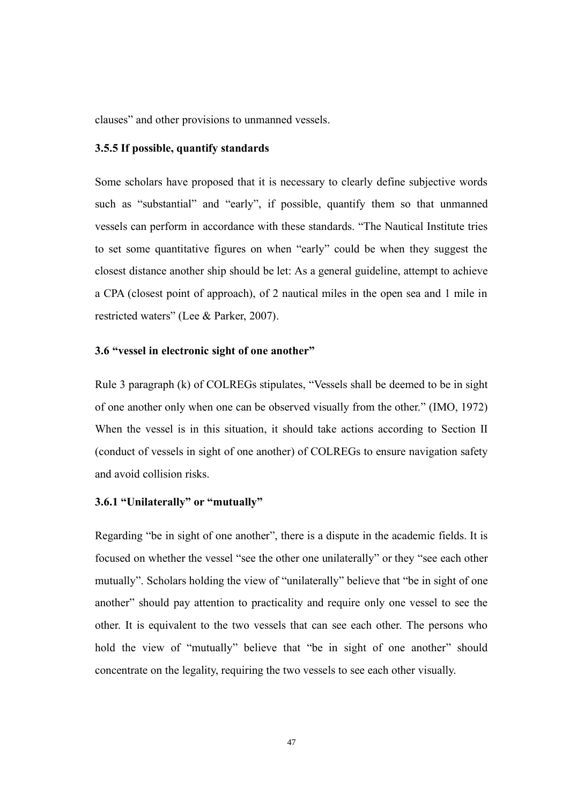clauses" and other provisions to unmanned vessels.

#### <span id="page-55-0"></span>**3.5.5 If possible, quantify standards**

Some scholars have proposed that it is necessary to clearly define subjective words such as "substantial" and "early", if possible, quantify them so that unmanned vessels can perform in accordance with these standards. "The Nautical Institute tries to set some quantitative figures on when "early" could be when they suggest the closest distance another ship should be let: As a general guideline, attempt to achieve a CPA (closest point of approach), of 2 nautical miles in the open sea and 1 mile in restricted waters" (Lee & Parker, 2007).

#### <span id="page-55-1"></span>**3.6 "vessel in electronic sight of one another"**

Rule 3 paragraph (k) of COLREGs stipulates, "Vessels shall be deemed to be in sight of one another only when one can be observed visually from the other." (IMO, 1972) When the vessel is in this situation, it should take actions according to Section II (conduct of vessels in sight of one another) of COLREGs to ensure navigation safety and avoid collision risks.

## <span id="page-55-2"></span>**3.6.1 "Unilaterally" or "mutually"**

Regarding "be in sight of one another", there is a dispute in the academic fields. It is focused on whether the vessel "see the other one unilaterally" or they "see each other mutually". Scholars holding the view of "unilaterally" believe that "be in sight of one another" should pay attention to practicality and require only one vessel to see the other. It is equivalent to the two vessels that can see each other. The persons who hold the view of "mutually" believe that "be in sight of one another" should concentrate on the legality, requiring the two vessels to see each other visually.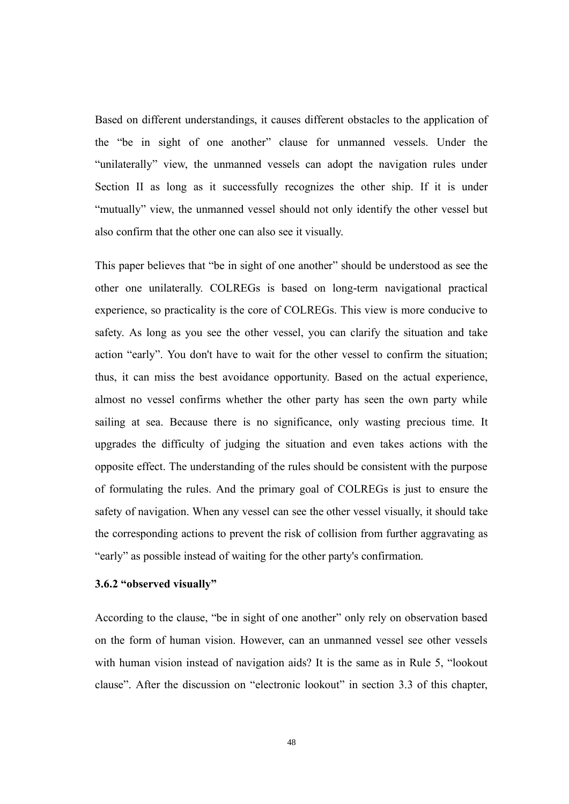Based on different understandings, it causes different obstacles to the application of the "be in sight of one another" clause for unmanned vessels. Under the "unilaterally" view, the unmanned vessels can adopt the navigation rules under Section II as long as it successfully recognizes the other ship. If it is under "mutually" view, the unmanned vessel should not only identify the other vessel but also confirm that the other one can also see it visually.

This paper believes that "be in sight of one another" should be understood as see the other one unilaterally. COLREGs is based on long-term navigational practical experience, so practicality is the core of COLREGs. This view is more conducive to safety. As long as you see the other vessel, you can clarify the situation and take action "early". You don't have to wait for the other vessel to confirm the situation; thus, it can miss the best avoidance opportunity. Based on the actual experience, almost no vessel confirms whether the other party has seen the own party while sailing at sea. Because there is no significance, only wasting precious time. It upgrades the difficulty of judging the situation and even takes actions with the opposite effect. The understanding of the rules should be consistent with the purpose of formulating the rules. And the primary goal of COLREGs is just to ensure the safety of navigation. When any vessel can see the other vessel visually, it should take the corresponding actions to prevent the risk of collision from further aggravating as "early" as possible instead of waiting for the other party's confirmation.

#### <span id="page-56-0"></span>**3.6.2 "observed visually"**

According to the clause, "be in sight of one another" only rely on observation based on the form of human vision. However, can an unmanned vessel see other vessels with human vision instead of navigation aids? It is the same as in Rule 5, "lookout clause". After the discussion on "electronic lookout" in section 3.3 of this chapter,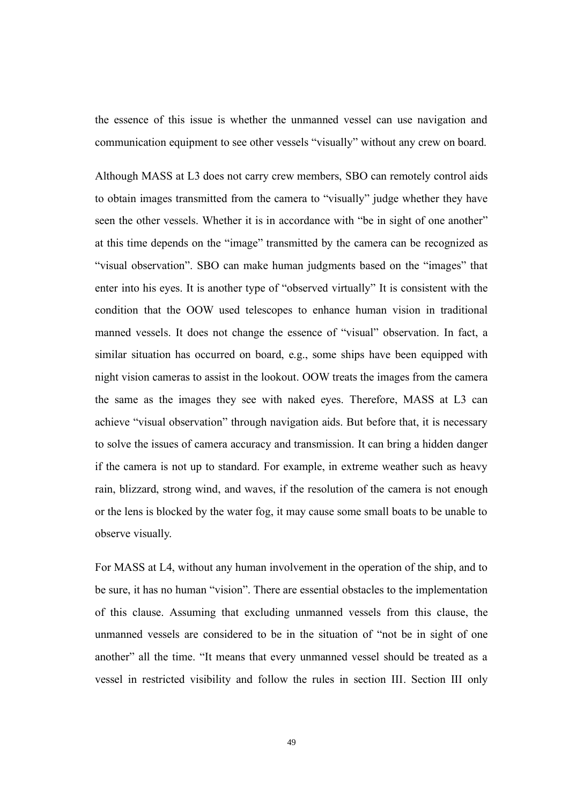the essence of this issue is whether the unmanned vessel can use navigation and communication equipment to see other vessels "visually" without any crew on board.

Although MASS at L3 does not carry crew members, SBO can remotely control aids to obtain images transmitted from the camera to "visually" judge whether they have seen the other vessels. Whether it is in accordance with "be in sight of one another" at this time depends on the "image" transmitted by the camera can be recognized as "visual observation". SBO can make human judgments based on the "images" that enter into his eyes. It is another type of "observed virtually" It is consistent with the condition that the OOW used telescopes to enhance human vision in traditional manned vessels. It does not change the essence of "visual" observation. In fact, a similar situation has occurred on board, e.g., some ships have been equipped with night vision cameras to assist in the lookout. OOW treats the images from the camera the same as the images they see with naked eyes. Therefore, MASS at L3 can achieve "visual observation" through navigation aids. But before that, it is necessary to solve the issues of camera accuracy and transmission. It can bring a hidden danger if the camera is not up to standard. For example, in extreme weather such as heavy rain, blizzard, strong wind, and waves, if the resolution of the camera is not enough or the lens is blocked by the water fog, it may cause some small boats to be unable to observe visually.

For MASS at L4, without any human involvement in the operation of the ship, and to be sure, it has no human "vision". There are essential obstacles to the implementation of this clause. Assuming that excluding unmanned vessels from this clause, the unmanned vessels are considered to be in the situation of "not be in sight of one another" all the time. "It means that every unmanned vessel should be treated as a vessel in restricted visibility and follow the rules in section III. Section III only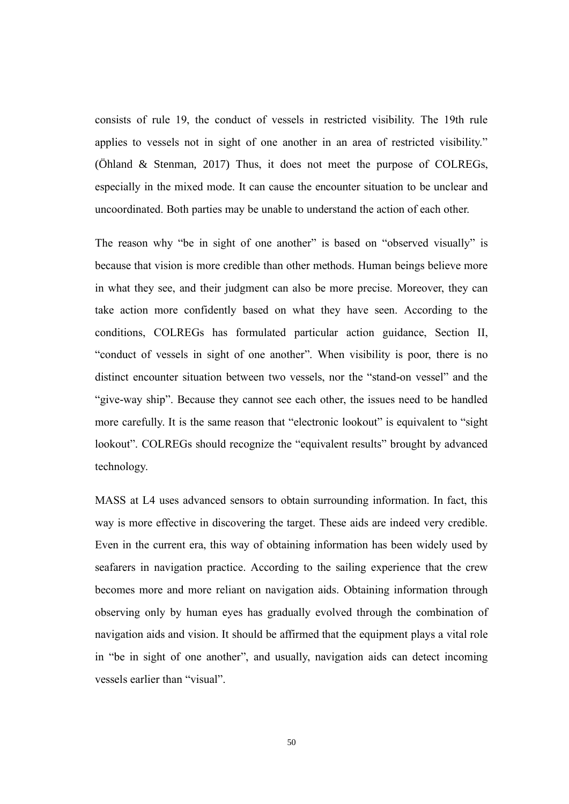consists of rule 19, the conduct of vessels in restricted visibility. The 19th rule applies to vessels not in sight of one another in an area of restricted visibility." (Öhland & Stenman, 2017) Thus, it does not meet the purpose of COLREGs, especially in the mixed mode. It can cause the encounter situation to be unclear and uncoordinated. Both parties may be unable to understand the action of each other.

The reason why "be in sight of one another" is based on "observed visually" is because that vision is more credible than other methods. Human beings believe more in what they see, and their judgment can also be more precise. Moreover, they can take action more confidently based on what they have seen. According to the conditions, COLREGs has formulated particular action guidance, Section II, "conduct of vessels in sight of one another". When visibility is poor, there is no distinct encounter situation between two vessels, nor the "stand-on vessel" and the "give-way ship". Because they cannot see each other, the issues need to be handled more carefully. It is the same reason that "electronic lookout" is equivalent to "sight lookout". COLREGs should recognize the "equivalent results" brought by advanced technology.

MASS at L4 uses advanced sensors to obtain surrounding information. In fact, this way is more effective in discovering the target. These aids are indeed very credible. Even in the current era, this way of obtaining information has been widely used by seafarers in navigation practice. According to the sailing experience that the crew becomes more and more reliant on navigation aids. Obtaining information through observing only by human eyes has gradually evolved through the combination of navigation aids and vision. It should be affirmed that the equipment plays a vital role in "be in sight of one another", and usually, navigation aids can detect incoming vessels earlier than "visual".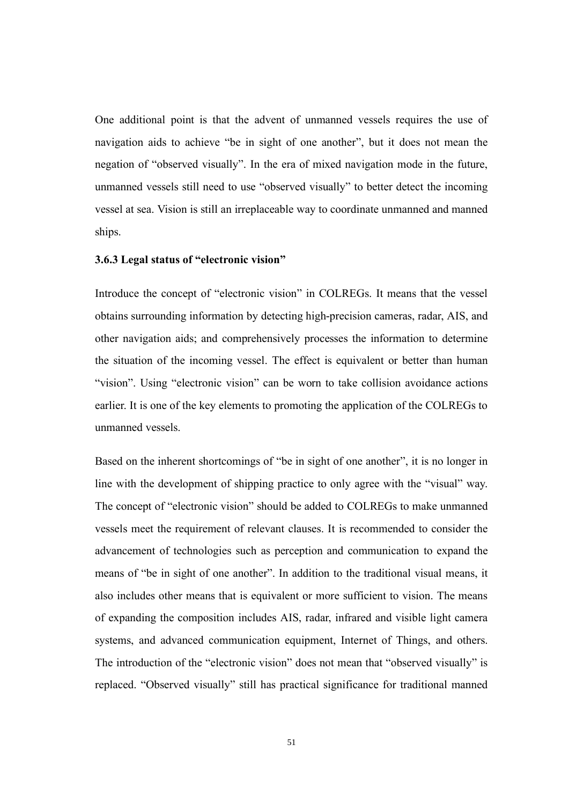One additional point is that the advent of unmanned vessels requires the use of navigation aids to achieve "be in sight of one another", but it does not mean the negation of "observed visually". In the era of mixed navigation mode in the future, unmanned vessels still need to use "observed visually" to better detect the incoming vessel at sea. Vision is still an irreplaceable way to coordinate unmanned and manned ships.

#### <span id="page-59-0"></span>**3.6.3 Legal status of "electronic vision"**

Introduce the concept of "electronic vision" in COLREGs. It means that the vessel obtains surrounding information by detecting high-precision cameras, radar, AIS, and other navigation aids; and comprehensively processes the information to determine the situation of the incoming vessel. The effect is equivalent or better than human "vision". Using "electronic vision" can be worn to take collision avoidance actions earlier. It is one of the key elements to promoting the application of the COLREGs to unmanned vessels.

Based on the inherent shortcomings of "be in sight of one another", it is no longer in line with the development of shipping practice to only agree with the "visual" way. The concept of "electronic vision" should be added to COLREGs to make unmanned vessels meet the requirement of relevant clauses. It is recommended to consider the advancement of technologies such as perception and communication to expand the means of "be in sight of one another". In addition to the traditional visual means, it also includes other means that is equivalent or more sufficient to vision. The means of expanding the composition includes AIS, radar, infrared and visible light camera systems, and advanced communication equipment, Internet of Things, and others. The introduction of the "electronic vision" does not mean that "observed visually" is replaced. "Observed visually" still has practical significance for traditional manned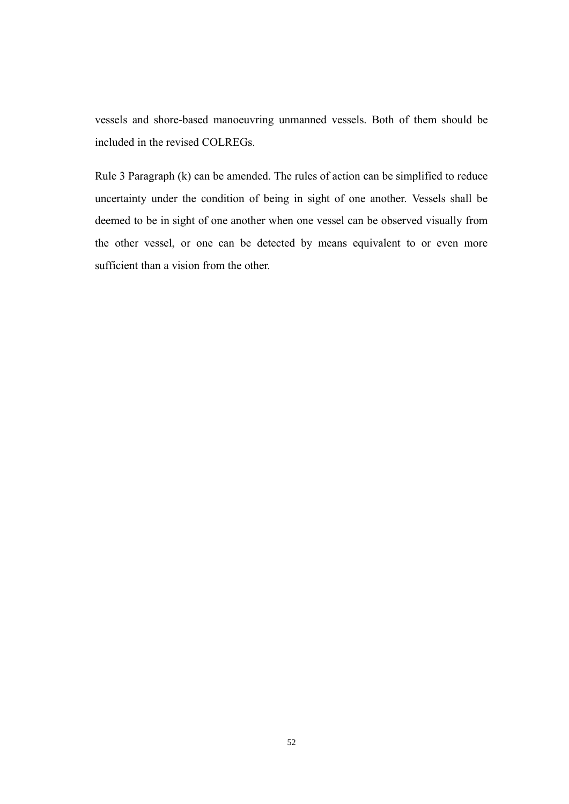vessels and shore-based manoeuvring unmanned vessels. Both of them should be included in the revised COLREGs.

Rule 3 Paragraph (k) can be amended. The rules of action can be simplified to reduce uncertainty under the condition of being in sight of one another. Vessels shall be deemed to be in sight of one another when one vessel can be observed visually from the other vessel, or one can be detected by means equivalent to or even more sufficient than a vision from the other.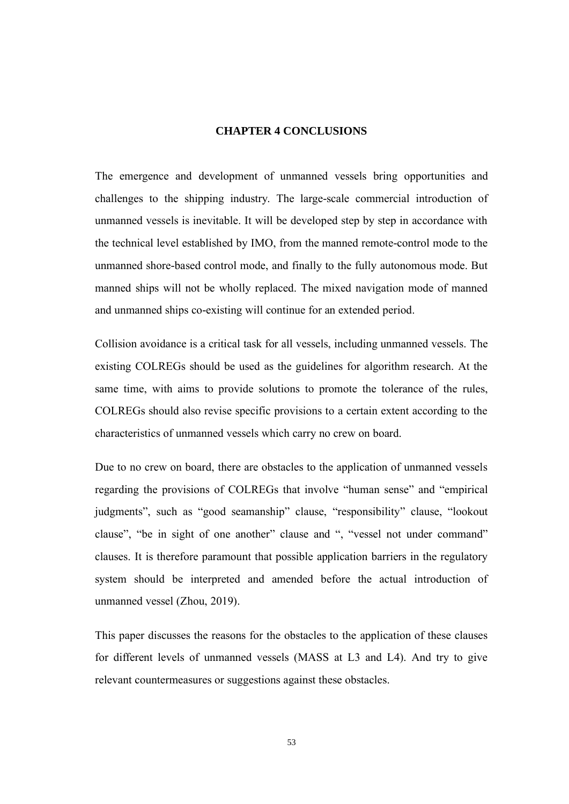#### **CHAPTER 4 CONCLUSIONS**

<span id="page-61-0"></span>The emergence and development of unmanned vessels bring opportunities and challenges to the shipping industry. The large-scale commercial introduction of unmanned vessels is inevitable. It will be developed step by step in accordance with the technical level established by IMO, from the manned remote-control mode to the unmanned shore-based control mode, and finally to the fully autonomous mode. But manned ships will not be wholly replaced. The mixed navigation mode of manned and unmanned ships co-existing will continue for an extended period.

Collision avoidance is a critical task for all vessels, including unmanned vessels. The existing COLREGs should be used as the guidelines for algorithm research. At the same time, with aims to provide solutions to promote the tolerance of the rules, COLREGs should also revise specific provisions to a certain extent according to the characteristics of unmanned vessels which carry no crew on board.

Due to no crew on board, there are obstacles to the application of unmanned vessels regarding the provisions of COLREGs that involve "human sense" and "empirical judgments", such as "good seamanship" clause, "responsibility" clause, "lookout clause", "be in sight of one another" clause and ", "vessel not under command" clauses. It is therefore paramount that possible application barriers in the regulatory system should be interpreted and amended before the actual introduction of unmanned vessel (Zhou, 2019).

This paper discusses the reasons for the obstacles to the application of these clauses for different levels of unmanned vessels (MASS at L3 and L4). And try to give relevant countermeasures or suggestions against these obstacles.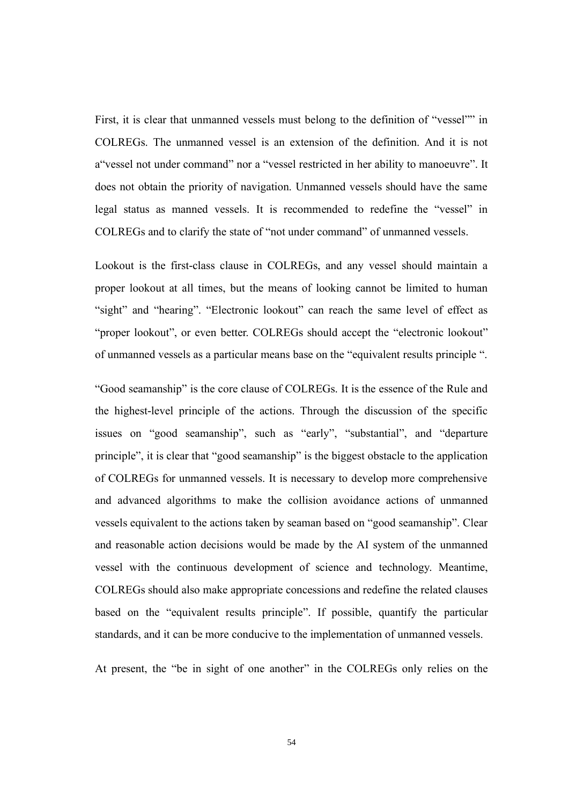First, it is clear that unmanned vessels must belong to the definition of "vessel"" in COLREGs. The unmanned vessel is an extension of the definition. And it is not a"vessel not under command" nor a "vessel restricted in her ability to manoeuvre". It does not obtain the priority of navigation. Unmanned vessels should have the same legal status as manned vessels. It is recommended to redefine the "vessel" in COLREGs and to clarify the state of "not under command" of unmanned vessels.

Lookout is the first-class clause in COLREGs, and any vessel should maintain a proper lookout at all times, but the means of looking cannot be limited to human "sight" and "hearing". "Electronic lookout" can reach the same level of effect as "proper lookout", or even better. COLREGs should accept the "electronic lookout" of unmanned vessels as a particular means base on the "equivalent results principle ".

"Good seamanship" is the core clause of COLREGs. It is the essence of the Rule and the highest-level principle of the actions. Through the discussion of the specific issues on "good seamanship", such as "early", "substantial", and "departure principle", it is clear that "good seamanship" is the biggest obstacle to the application of COLREGs for unmanned vessels. It is necessary to develop more comprehensive and advanced algorithms to make the collision avoidance actions of unmanned vessels equivalent to the actions taken by seaman based on "good seamanship". Clear and reasonable action decisions would be made by the AI system of the unmanned vessel with the continuous development of science and technology. Meantime, COLREGs should also make appropriate concessions and redefine the related clauses based on the "equivalent results principle". If possible, quantify the particular standards, and it can be more conducive to the implementation of unmanned vessels.

At present, the "be in sight of one another" in the COLREGs only relies on the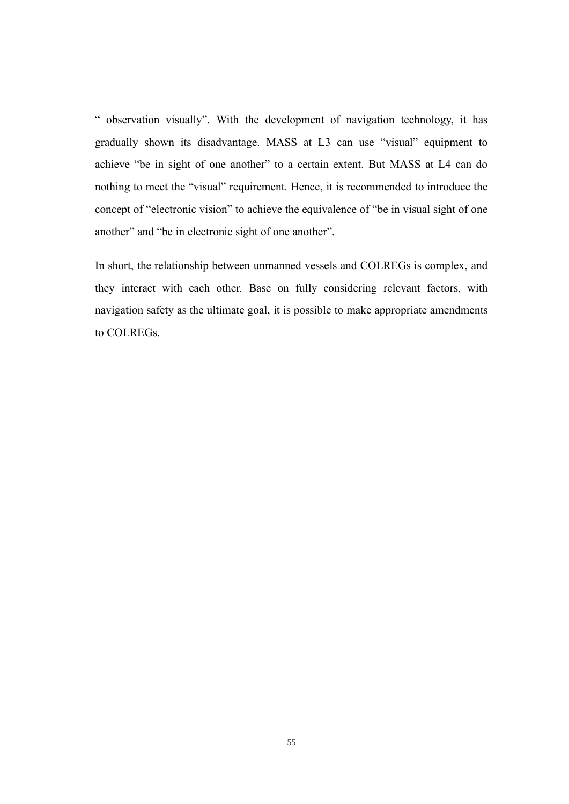" observation visually". With the development of navigation technology, it has gradually shown its disadvantage. MASS at L3 can use "visual" equipment to achieve "be in sight of one another" to a certain extent. But MASS at L4 can do nothing to meet the "visual" requirement. Hence, it is recommended to introduce the concept of "electronic vision" to achieve the equivalence of "be in visual sight of one another" and "be in electronic sight of one another".

In short, the relationship between unmanned vessels and COLREGs is complex, and they interact with each other. Base on fully considering relevant factors, with navigation safety as the ultimate goal, it is possible to make appropriate amendments to COLREGs.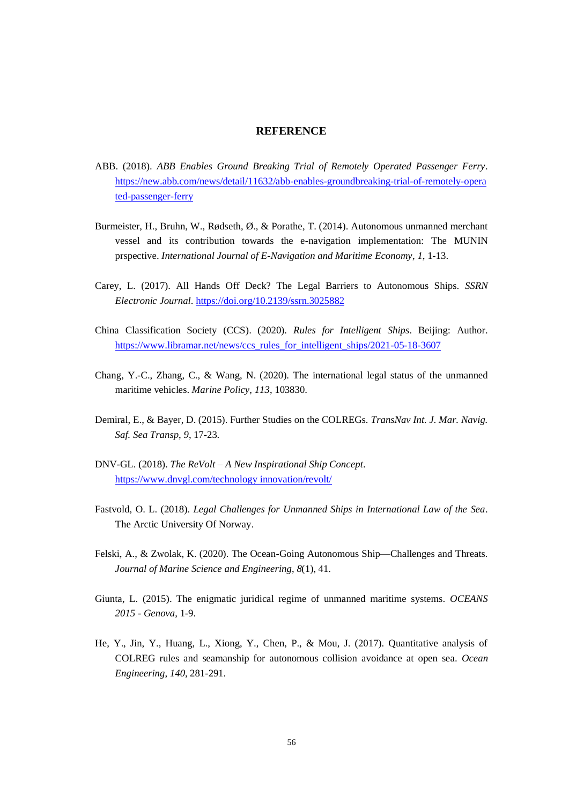#### **REFERENCE**

- <span id="page-64-0"></span>ABB. (2018). *ABB Enables Ground Breaking Trial of Remotely Operated Passenger Ferry*. [https://new.abb.com/news/detail/11632/abb-enables-groundbreaking-trial-of-remotely-opera](https://new.abb.com/news/detail/11632/abb-enables-groundbreaking-trial-of-remotely-operated-passenger-ferry) [ted-passenger-ferry](https://new.abb.com/news/detail/11632/abb-enables-groundbreaking-trial-of-remotely-operated-passenger-ferry)
- Burmeister, H., Bruhn, W., Rødseth, Ø., & Porathe, T. (2014). Autonomous unmanned merchant vessel and its contribution towards the e-navigation implementation: The MUNIN prspective. *International Journal of E-Navigation and Maritime Economy*, *1*, 1-13.
- Carey, L. (2017). All Hands Off Deck? The Legal Barriers to Autonomous Ships. *SSRN Electronic Journal*[. https://doi.org/10.2139/ssrn.3025882](https://doi.org/10.2139/ssrn.3025882)
- China Classification Society (CCS). (2020). *Rules for Intelligent Ships*. Beijing: Author. [https://www.libramar.net/news/ccs\\_rules\\_for\\_intelligent\\_ships/2021-05-18-3607](https://www.libramar.net/news/ccs_rules_for_intelligent_ships/2021-05-18-3607)
- Chang, Y.-C., Zhang, C., & Wang, N. (2020). The international legal status of the unmanned maritime vehicles. *Marine Policy*, *113*, 103830.
- Demiral, E., & Bayer, D. (2015). Further Studies on the COLREGs. *TransNav Int. J. Mar. Navig. Saf. Sea Transp*, *9*, 17-23.
- DNV-GL. (2018). *The ReVolt – A New Inspirational Ship Concept*. [https://www.dnvgl.com/technology innovation/revolt/](https://www.dnvgl.com/technology%20innovation/revolt/)
- Fastvold, O. L. (2018). *Legal Challenges for Unmanned Ships in International Law of the Sea*. The Arctic University Of Norway.
- Felski, A., & Zwolak, K. (2020). The Ocean-Going Autonomous Ship—Challenges and Threats. *Journal of Marine Science and Engineering*, *8*(1), 41.
- Giunta, L. (2015). The enigmatic juridical regime of unmanned maritime systems. *OCEANS 2015 - Genova*, 1-9.
- He, Y., Jin, Y., Huang, L., Xiong, Y., Chen, P., & Mou, J. (2017). Quantitative analysis of COLREG rules and seamanship for autonomous collision avoidance at open sea. *Ocean Engineering*, *140*, 281-291.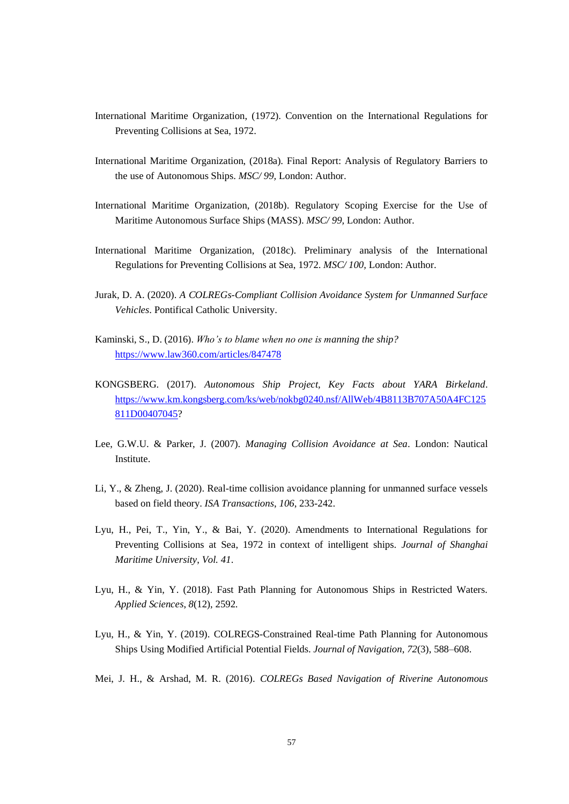- International Maritime Organization, (1972). Convention on the International Regulations for Preventing Collisions at Sea, 1972.
- International Maritime Organization, (2018a). Final Report: Analysis of Regulatory Barriers to the use of Autonomous Ships. *MSC/ 99,* London: Author.
- International Maritime Organization, (2018b). Regulatory Scoping Exercise for the Use of Maritime Autonomous Surface Ships (MASS). *MSC/ 99,* London: Author.
- International Maritime Organization, (2018c). Preliminary analysis of the International Regulations for Preventing Collisions at Sea, 1972. *MSC/ 100,* London: Author.
- Jurak, D. A. (2020). *A COLREGs-Compliant Collision Avoidance System for Unmanned Surface Vehicles*. Pontifical Catholic University.
- Kaminski, S., D. (2016). *Who's to blame when no one is manning the ship?* <https://www.law360.com/articles/847478>
- KONGSBERG. (2017). *Autonomous Ship Project, Key Facts about YARA Birkeland*. [https://www.km.kongsberg.com/ks/web/nokbg0240.nsf/AllWeb/4B8113B707A50A4FC125](https://www.km.kongsberg.com/ks/web/nokbg0240.nsf/AllWeb/4B8113B707A50A4FC125811D00407045) [811D00407045?](https://www.km.kongsberg.com/ks/web/nokbg0240.nsf/AllWeb/4B8113B707A50A4FC125811D00407045)
- Lee, G.W.U. & Parker, J. (2007). *Managing Collision Avoidance at Sea*. London: Nautical Institute.
- Li, Y., & Zheng, J. (2020). Real-time collision avoidance planning for unmanned surface vessels based on field theory. *ISA Transactions*, *106*, 233-242.
- Lyu, H., Pei, T., Yin, Y., & Bai, Y. (2020). Amendments to International Regulations for Preventing Collisions at Sea, 1972 in context of intelligent ships. *Journal of Shanghai Maritime University*, *Vol. 41*.
- Lyu, H., & Yin, Y. (2018). Fast Path Planning for Autonomous Ships in Restricted Waters. *Applied Sciences*, *8*(12), 2592.
- Lyu, H., & Yin, Y. (2019). COLREGS-Constrained Real-time Path Planning for Autonomous Ships Using Modified Artificial Potential Fields. *Journal of Navigation*, *72*(3), 588–608.
- Mei, J. H., & Arshad, M. R. (2016). *COLREGs Based Navigation of Riverine Autonomous*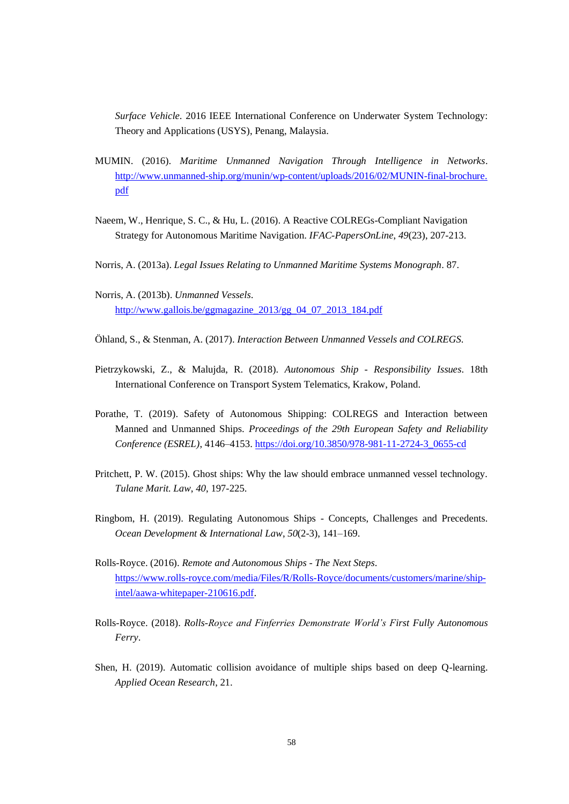*Surface Vehicle*. 2016 IEEE International Conference on Underwater System Technology: Theory and Applications (USYS), Penang, Malaysia.

- MUMIN. (2016). *Maritime Unmanned Navigation Through Intelligence in Networks*. [http://www.unmanned-ship.org/munin/wp-content/uploads/2016/02/MUNIN-final-brochure.](http://www.unmanned-ship.org/munin/wp-content/uploads/2016/02/MUNIN-final-brochure.pdf) [pdf](http://www.unmanned-ship.org/munin/wp-content/uploads/2016/02/MUNIN-final-brochure.pdf)
- Naeem, W., Henrique, S. C., & Hu, L. (2016). A Reactive COLREGs-Compliant Navigation Strategy for Autonomous Maritime Navigation. *IFAC-PapersOnLine*, *49*(23), 207-213.
- Norris, A. (2013a). *Legal Issues Relating to Unmanned Maritime Systems Monograph*. 87.
- Norris, A. (2013b). *Unmanned Vessels*. [http://www.gallois.be/ggmagazine\\_2013/gg\\_04\\_07\\_2013\\_184.pdf](http://www.gallois.be/ggmagazine_2013/gg_04_07_2013_184.pdf)
- Öhland, S., & Stenman, A. (2017). *Interaction Between Unmanned Vessels and COLREGS*.
- Pietrzykowski, Z., & Malujda, R. (2018). *Autonomous Ship - Responsibility Issues*. 18th International Conference on Transport System Telematics, Krakow, Poland.
- Porathe, T. (2019). Safety of Autonomous Shipping: COLREGS and Interaction between Manned and Unmanned Ships. *Proceedings of the 29th European Safety and Reliability Conference (ESREL)*, 4146–4153[. https://doi.org/10.3850/978-981-11-2724-3\\_0655-cd](https://doi.org/10.3850/978-981-11-2724-3_0655-cd)
- Pritchett, P. W. (2015). Ghost ships: Why the law should embrace unmanned vessel technology. *Tulane Marit. Law*, *40*, 197-225.
- Ringbom, H. (2019). Regulating Autonomous Ships Concepts, Challenges and Precedents. *Ocean Development & International Law*, *50*(2-3), 141–169.
- Rolls-Royce. (2016). *Remote and Autonomous Ships - The Next Steps*. [https://www.rolls-royce.com/media/Files/R/Rolls-Royce/documents/customers/marine/ship](https://www.rolls-royce.com/media/Files/R/Rolls-Royce/documents/customers/marine/ship-intel/aawa-whitepaper-210616.pdf)[intel/aawa-whitepaper-210616.pdf.](https://www.rolls-royce.com/media/Files/R/Rolls-Royce/documents/customers/marine/ship-intel/aawa-whitepaper-210616.pdf)
- Rolls-Royce. (2018). *Rolls-Royce and Finferries Demonstrate World's First Fully Autonomous Ferry*.
- Shen, H. (2019). Automatic collision avoidance of multiple ships based on deep Q-learning. *Applied Ocean Research*, 21.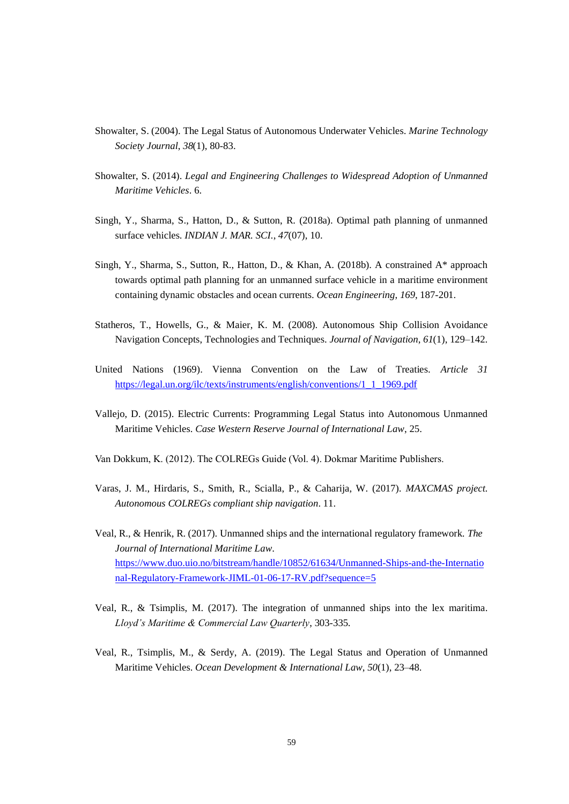- Showalter, S. (2004). The Legal Status of Autonomous Underwater Vehicles. *Marine Technology Society Journal*, *38*(1), 80-83.
- Showalter, S. (2014). *Legal and Engineering Challenges to Widespread Adoption of Unmanned Maritime Vehicles*. 6.
- Singh, Y., Sharma, S., Hatton, D., & Sutton, R. (2018a). Optimal path planning of unmanned surface vehicles. *INDIAN J. MAR. SCI.*, *47*(07), 10.
- Singh, Y., Sharma, S., Sutton, R., Hatton, D., & Khan, A. (2018b). A constrained A\* approach towards optimal path planning for an unmanned surface vehicle in a maritime environment containing dynamic obstacles and ocean currents. *Ocean Engineering*, *169*, 187-201.
- Statheros, T., Howells, G., & Maier, K. M. (2008). Autonomous Ship Collision Avoidance Navigation Concepts, Technologies and Techniques. *Journal of Navigation*, *61*(1), 129–142.
- United Nations (1969). Vienna Convention on the Law of Treaties. *Article 31* [https://legal.un.org/ilc/texts/instruments/english/conventions/1\\_1\\_1969.pdf](https://legal.un.org/ilc/texts/instruments/english/conventions/1_1_1969.pdf)
- Vallejo, D. (2015). Electric Currents: Programming Legal Status into Autonomous Unmanned Maritime Vehicles. *Case Western Reserve Journal of International Law*, 25.
- Van Dokkum, K. (2012). The COLREGs Guide (Vol. 4). Dokmar Maritime Publishers.
- Varas, J. M., Hirdaris, S., Smith, R., Scialla, P., & Caharija, W. (2017). *MAXCMAS project. Autonomous COLREGs compliant ship navigation*. 11.
- Veal, R., & Henrik, R. (2017). Unmanned ships and the international regulatory framework. *The Journal of International Maritime Law*. [https://www.duo.uio.no/bitstream/handle/10852/61634/Unmanned-Ships-and-the-Internatio](https://www.duo.uio.no/bitstream/handle/10852/61634/Unmanned-Ships-and-the-International-Regulatory-Framework-JIML-01-06-17-RV.pdf?sequence=5) [nal-Regulatory-Framework-JIML-01-06-17-RV.pdf?sequence=5](https://www.duo.uio.no/bitstream/handle/10852/61634/Unmanned-Ships-and-the-International-Regulatory-Framework-JIML-01-06-17-RV.pdf?sequence=5)
- Veal, R., & Tsimplis, M. (2017). The integration of unmanned ships into the lex maritima. *Lloyd's Maritime & Commercial Law Quarterly*, 303-335.
- Veal, R., Tsimplis, M., & Serdy, A. (2019). The Legal Status and Operation of Unmanned Maritime Vehicles. *Ocean Development & International Law*, *50*(1), 23–48.